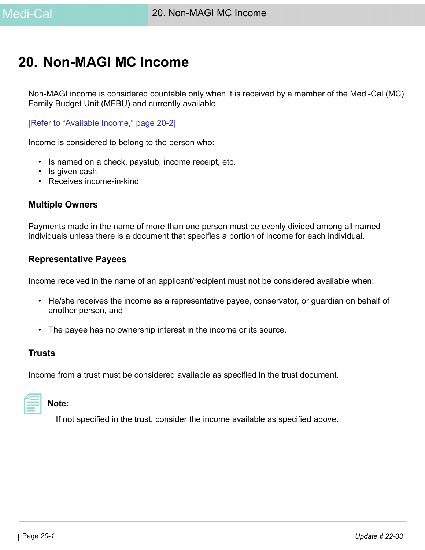# <span id="page-0-0"></span>**20. Non-MAGI MC Income**

Non-MAGI income is considered countable only when it is received by a member of the Medi-Cal (MC) Family Budget Unit (MFBU) and currently available.

[\[Refer to "Available Income," page 20-2\]](#page-1-0)

Income is considered to belong to the person who:

- Is named on a check, paystub, income receipt, etc.
- Is given cash
- Receives income-in-kind

#### **Multiple Owners**

Payments made in the name of more than one person must be evenly divided among all named individuals unless there is a document that specifies a portion of income for each individual.

#### **Representative Payees**

Income received in the name of an applicant/recipient must not be considered available when:

- He/she receives the income as a representative payee, conservator, or guardian on behalf of another person, and
- The payee has no ownership interest in the income or its source.

#### **Trusts**

Income from a trust must be considered available as specified in the trust document.



#### **Note:**

If not specified in the trust, consider the income available as specified above.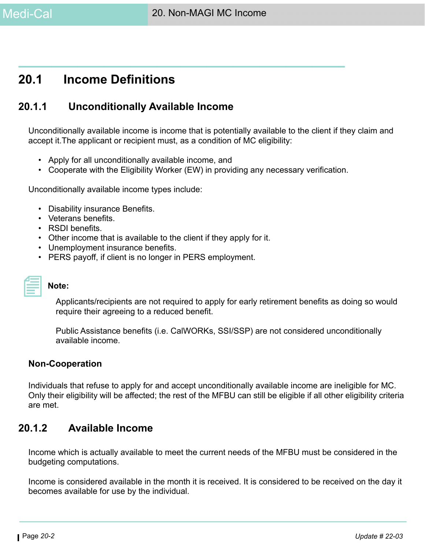

# **20.1 Income Definitions**

# **20.1.1 Unconditionally Available Income**

Unconditionally available income is income that is potentially available to the client if they claim and accept it.The applicant or recipient must, as a condition of MC eligibility:

- Apply for all unconditionally available income, and
- Cooperate with the Eligibility Worker (EW) in providing any necessary verification.

Unconditionally available income types include:

- Disability insurance Benefits.
- Veterans benefits.
- RSDI benefits.
- Other income that is available to the client if they apply for it.
- Unemployment insurance benefits.
- PERS payoff, if client is no longer in PERS employment.

#### **Note:**

Applicants/recipients are not required to apply for early retirement benefits as doing so would require their agreeing to a reduced benefit.

Public Assistance benefits (i.e. CalWORKs, SSI/SSP) are not considered unconditionally available income.

#### **Non-Cooperation**

Individuals that refuse to apply for and accept unconditionally available income are ineligible for MC. Only their eligibility will be affected; the rest of the MFBU can still be eligible if all other eligibility criteria are met.

# <span id="page-1-0"></span>**20.1.2 Available Income**

Income which is actually available to meet the current needs of the MFBU must be considered in the budgeting computations.

Income is considered available in the month it is received. It is considered to be received on the day it becomes available for use by the individual.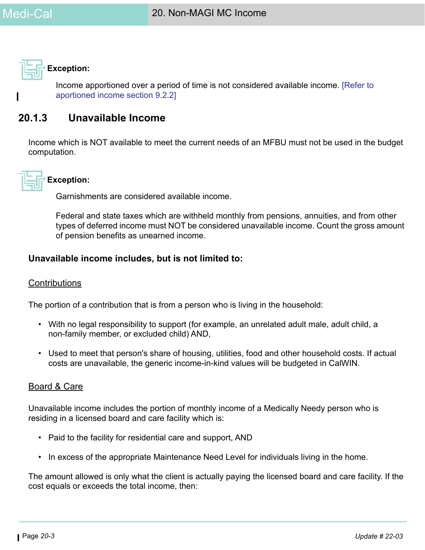**Exception:**

Income apportioned over a period of time is not considered available income. [Refer to aportioned income section 9.2.2]

# **20.1.3 Unavailable Income**

Income which is NOT available to meet the current needs of an MFBU must not be used in the budget computation.



# **Exception:**

Garnishments are considered available income.

Federal and state taxes which are withheld monthly from pensions, annuities, and from other types of deferred income must NOT be considered unavailable income. Count the gross amount of pension benefits as unearned income.

# **Unavailable income includes, but is not limited to:**

#### **Contributions**

The portion of a contribution that is from a person who is living in the household:

- With no legal responsibility to support (for example, an unrelated adult male, adult child, a non-family member, or excluded child) AND,
- Used to meet that person's share of housing, utilities, food and other household costs. If actual costs are unavailable, the generic income-in-kind values will be budgeted in CalWIN.

# Board & Care

Unavailable income includes the portion of monthly income of a Medically Needy person who is residing in a licensed board and care facility which is:

- Paid to the facility for residential care and support, AND
- In excess of the appropriate Maintenance Need Level for individuals living in the home.

The amount allowed is only what the client is actually paying the licensed board and care facility. If the cost equals or exceeds the total income, then: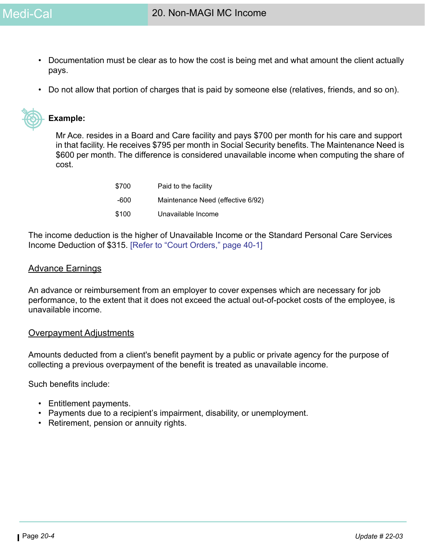- Documentation must be clear as to how the cost is being met and what amount the client actually pays.
- Do not allow that portion of charges that is paid by someone else (relatives, friends, and so on).



### **Example:**

Mr Ace. resides in a Board and Care facility and pays \$700 per month for his care and support in that facility. He receives \$795 per month in Social Security benefits. The Maintenance Need is \$600 per month. The difference is considered unavailable income when computing the share of cost.

| \$700 | Paid to the facility              |
|-------|-----------------------------------|
| -600  | Maintenance Need (effective 6/92) |
| \$100 | Unavailable Income                |

The income deduction is the higher of Unavailable Income or the Standard Personal Care Services Income Deduction of \$315. [\[Refer to "Court Orders," page 40-1\]](#page-0-0)

#### Advance Earnings

An advance or reimbursement from an employer to cover expenses which are necessary for job performance, to the extent that it does not exceed the actual out-of-pocket costs of the employee, is unavailable income.

#### Overpayment Adjustments

Amounts deducted from a client's benefit payment by a public or private agency for the purpose of collecting a previous overpayment of the benefit is treated as unavailable income.

Such benefits include:

- Entitlement payments.
- Payments due to a recipient's impairment, disability, or unemployment.
- Retirement, pension or annuity rights.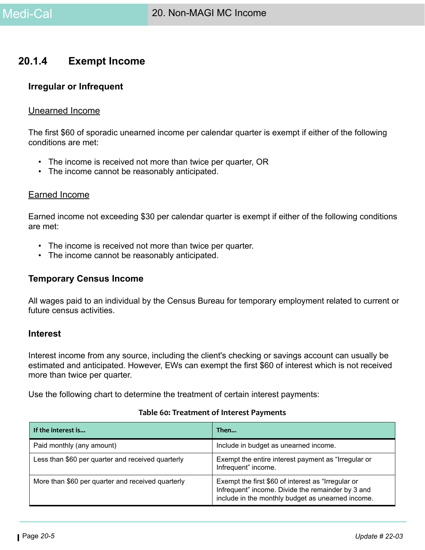# **20.1.4 Exempt Income**

#### <span id="page-4-0"></span>**Irregular or Infrequent**

#### Unearned Income

The first \$60 of sporadic unearned income per calendar quarter is exempt if either of the following conditions are met:

- The income is received not more than twice per quarter, OR
- The income cannot be reasonably anticipated.

#### Earned Income

Earned income not exceeding \$30 per calendar quarter is exempt if either of the following conditions are met:

- The income is received not more than twice per quarter.
- The income cannot be reasonably anticipated.

#### **Temporary Census Income**

All wages paid to an individual by the Census Bureau for temporary employment related to current or future census activities.

#### **Interest**

Interest income from any source, including the client's checking or savings account can usually be estimated and anticipated. However, EWs can exempt the first \$60 of interest which is not received more than twice per quarter.

Use the following chart to determine the treatment of certain interest payments:

| If the interest is                                | Then                                                                                                                                                         |
|---------------------------------------------------|--------------------------------------------------------------------------------------------------------------------------------------------------------------|
| Paid monthly (any amount)                         | Include in budget as unearned income.                                                                                                                        |
| Less than \$60 per quarter and received quarterly | Exempt the entire interest payment as "Irregular or<br>Infrequent" income.                                                                                   |
| More than \$60 per quarter and received quarterly | Exempt the first \$60 of interest as "Irregular or<br>Infrequent" income. Divide the remainder by 3 and<br>include in the monthly budget as unearned income. |

#### **Table 60: Treatment of Interest Payments**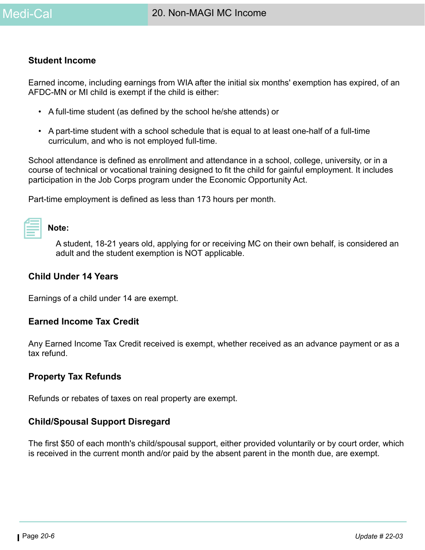

#### **Student Income**

Earned income, including earnings from WIA after the initial six months' exemption has expired, of an AFDC-MN or MI child is exempt if the child is either:

- A full-time student (as defined by the school he/she attends) or
- A part-time student with a school schedule that is equal to at least one-half of a full-time curriculum, and who is not employed full-time.

School attendance is defined as enrollment and attendance in a school, college, university, or in a course of technical or vocational training designed to fit the child for gainful employment. It includes participation in the Job Corps program under the Economic Opportunity Act.

Part-time employment is defined as less than 173 hours per month.

| ___ |  |
|-----|--|
|     |  |
|     |  |
|     |  |
|     |  |
|     |  |
|     |  |
|     |  |
|     |  |

#### **Note:**

A student, 18-21 years old, applying for or receiving MC on their own behalf, is considered an adult and the student exemption is NOT applicable.

#### **Child Under 14 Years**

Earnings of a child under 14 are exempt.

#### **Earned Income Tax Credit**

Any Earned Income Tax Credit received is exempt, whether received as an advance payment or as a tax refund.

#### **Property Tax Refunds**

Refunds or rebates of taxes on real property are exempt.

#### **Child/Spousal Support Disregard**

The first \$50 of each month's child/spousal support, either provided voluntarily or by court order, which is received in the current month and/or paid by the absent parent in the month due, are exempt.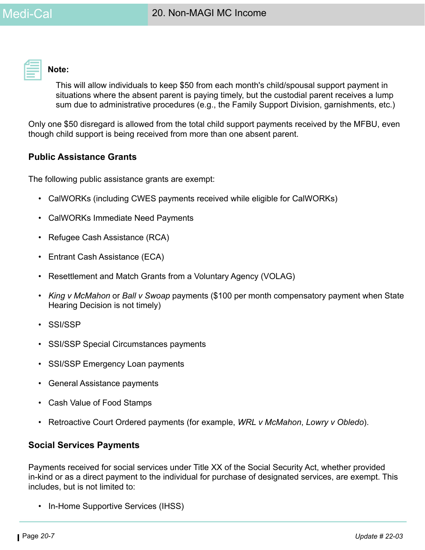

**Note:** 

This will allow individuals to keep \$50 from each month's child/spousal support payment in situations where the absent parent is paying timely, but the custodial parent receives a lump sum due to administrative procedures (e.g., the Family Support Division, garnishments, etc.)

Only one \$50 disregard is allowed from the total child support payments received by the MFBU, even though child support is being received from more than one absent parent.

# **Public Assistance Grants**

The following public assistance grants are exempt:

- CalWORKs (including CWES payments received while eligible for CalWORKs)
- CalWORKs Immediate Need Payments
- Refugee Cash Assistance (RCA)
- Entrant Cash Assistance (ECA)
- Resettlement and Match Grants from a Voluntary Agency (VOLAG)
- *King v McMahon* or *Ball v Swoap* payments (\$100 per month compensatory payment when State Hearing Decision is not timely)
- SSI/SSP
- SSI/SSP Special Circumstances payments
- SSI/SSP Emergency Loan payments
- General Assistance payments
- Cash Value of Food Stamps
- Retroactive Court Ordered payments (for example, *WRL v McMahon*, *Lowry v Obledo*).

#### **Social Services Payments**

Payments received for social services under Title XX of the Social Security Act, whether provided in-kind or as a direct payment to the individual for purchase of designated services, are exempt. This includes, but is not limited to:

• In-Home Supportive Services (IHSS)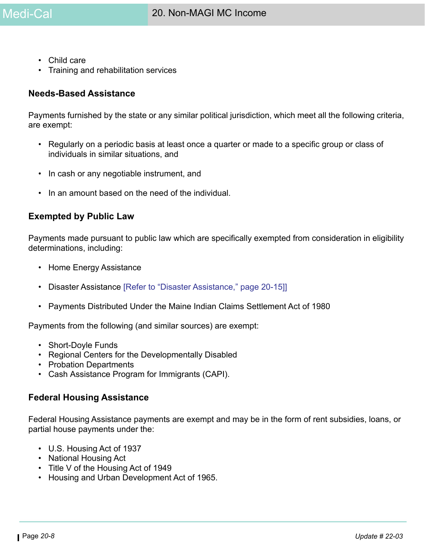- Child care
- Training and rehabilitation services

#### **Needs-Based Assistance**

Payments furnished by the state or any similar political jurisdiction, which meet all the following criteria, are exempt:

- Regularly on a periodic basis at least once a quarter or made to a specific group or class of individuals in similar situations, and
- In cash or any negotiable instrument, and
- In an amount based on the need of the individual

#### **Exempted by Public Law**

Payments made pursuant to public law which are specifically exempted from consideration in eligibility determinations, including:

- Home Energy Assistance
- Disaster Assistance [\[Refer to "Disaster Assistance," page 20-15\]\]](#page-14-0)
- Payments Distributed Under the Maine Indian Claims Settlement Act of 1980

Payments from the following (and similar sources) are exempt:

- Short-Doyle Funds
- Regional Centers for the Developmentally Disabled
- Probation Departments
- Cash Assistance Program for Immigrants (CAPI).

#### **Federal Housing Assistance**

Federal Housing Assistance payments are exempt and may be in the form of rent subsidies, loans, or partial house payments under the:

- U.S. Housing Act of 1937
- National Housing Act
- Title V of the Housing Act of 1949
- Housing and Urban Development Act of 1965.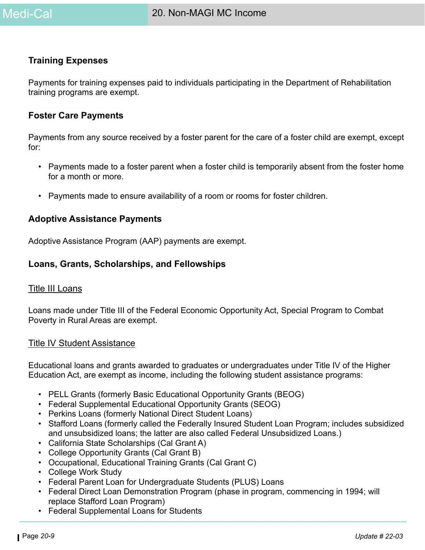

#### **Training Expenses**

Payments for training expenses paid to individuals participating in the Department of Rehabilitation training programs are exempt.

#### **Foster Care Payments**

Payments from any source received by a foster parent for the care of a foster child are exempt, except for:

- Payments made to a foster parent when a foster child is temporarily absent from the foster home for a month or more.
- Payments made to ensure availability of a room or rooms for foster children.

#### **Adoptive Assistance Payments**

Adoptive Assistance Program (AAP) payments are exempt.

#### **Loans, Grants, Scholarships, and Fellowships**

#### Title III Loans

Loans made under Title III of the Federal Economic Opportunity Act, Special Program to Combat Poverty in Rural Areas are exempt.

#### Title IV Student Assistance

Educational loans and grants awarded to graduates or undergraduates under Title IV of the Higher Education Act, are exempt as income, including the following student assistance programs:

- PELL Grants (formerly Basic Educational Opportunity Grants (BEOG)
- Federal Supplemental Educational Opportunity Grants (SEOG)
- Perkins Loans (formerly National Direct Student Loans)
- Stafford Loans (formerly called the Federally Insured Student Loan Program; includes subsidized and unsubsidized loans; the latter are also called Federal Unsubsidized Loans.)
- California State Scholarships (Cal Grant A)
- College Opportunity Grants (Cal Grant B)
- Occupational, Educational Training Grants (Cal Grant C)
- College Work Study
- Federal Parent Loan for Undergraduate Students (PLUS) Loans
- Federal Direct Loan Demonstration Program (phase in program, commencing in 1994; will replace Stafford Loan Program)
- Federal Supplemental Loans for Students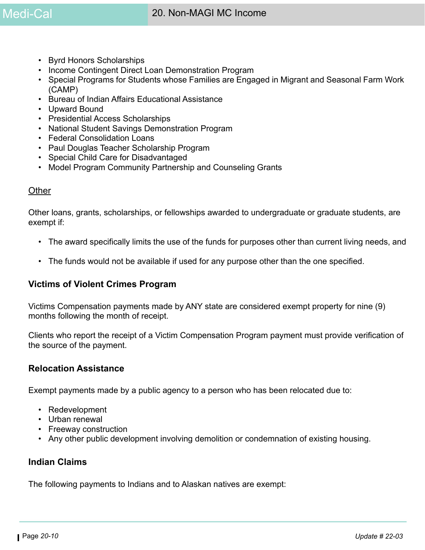- Byrd Honors Scholarships
- Income Contingent Direct Loan Demonstration Program
- Special Programs for Students whose Families are Engaged in Migrant and Seasonal Farm Work (CAMP)
- Bureau of Indian Affairs Educational Assistance
- Upward Bound
- Presidential Access Scholarships
- National Student Savings Demonstration Program
- Federal Consolidation Loans
- Paul Douglas Teacher Scholarship Program
- Special Child Care for Disadvantaged
- Model Program Community Partnership and Counseling Grants

#### **Other**

Other loans, grants, scholarships, or fellowships awarded to undergraduate or graduate students, are exempt if:

- The award specifically limits the use of the funds for purposes other than current living needs, and
- The funds would not be available if used for any purpose other than the one specified.

#### **Victims of Violent Crimes Program**

Victims Compensation payments made by ANY state are considered exempt property for nine (9) months following the month of receipt.

Clients who report the receipt of a Victim Compensation Program payment must provide verification of the source of the payment.

#### **Relocation Assistance**

Exempt payments made by a public agency to a person who has been relocated due to:

- Redevelopment
- Urban renewal
- Freeway construction
- Any other public development involving demolition or condemnation of existing housing.

# **Indian Claims**

The following payments to Indians and to Alaskan natives are exempt: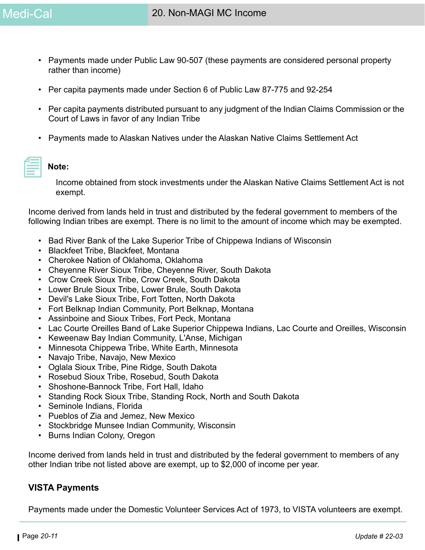- Payments made under Public Law 90-507 (these payments are considered personal property rather than income)
- Per capita payments made under Section 6 of Public Law 87-775 and 92-254
- Per capita payments distributed pursuant to any judgment of the Indian Claims Commission or the Court of Laws in favor of any Indian Tribe
- Payments made to Alaskan Natives under the Alaskan Native Claims Settlement Act

#### **Note:**

Income obtained from stock investments under the Alaskan Native Claims Settlement Act is not exempt.

Income derived from lands held in trust and distributed by the federal government to members of the following Indian tribes are exempt. There is no limit to the amount of income which may be exempted.

- Bad River Bank of the Lake Superior Tribe of Chippewa Indians of Wisconsin
- Blackfeet Tribe, Blackfeet, Montana
- Cherokee Nation of Oklahoma, Oklahoma
- Cheyenne River Sioux Tribe, Cheyenne River, South Dakota
- Crow Creek Sioux Tribe, Crow Creek, South Dakota
- Lower Brule Sioux Tribe, Lower Brule, South Dakota
- Devil's Lake Sioux Tribe, Fort Totten, North Dakota
- Fort Belknap Indian Community, Port Belknap, Montana
- Assinboine and Sioux Tribes, Fort Peck, Montana
- Lac Courte Oreilles Band of Lake Superior Chippewa Indians, Lac Courte and Oreilles, Wisconsin
- Keweenaw Bay Indian Community, L'Anse, Michigan
- Minnesota Chippewa Tribe, White Earth, Minnesota
- Navajo Tribe, Navajo, New Mexico
- Oglala Sioux Tribe, Pine Ridge, South Dakota
- Rosebud Sioux Tribe, Rosebud, South Dakota
- Shoshone-Bannock Tribe, Fort Hall, Idaho
- Standing Rock Sioux Tribe, Standing Rock, North and South Dakota
- Seminole Indians, Florida
- Pueblos of Zia and Jemez, New Mexico
- Stockbridge Munsee Indian Community, Wisconsin
- Burns Indian Colony, Oregon

Income derived from lands held in trust and distributed by the federal government to members of any other Indian tribe not listed above are exempt, up to \$2,000 of income per year.

#### **VISTA Payments**

Payments made under the Domestic Volunteer Services Act of 1973, to VISTA volunteers are exempt.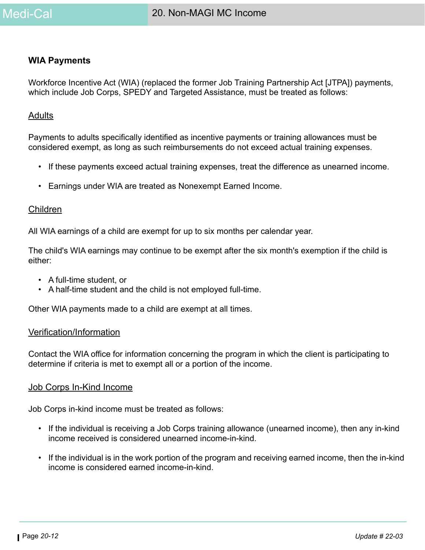#### **WIA Payments**

Workforce Incentive Act (WIA) (replaced the former Job Training Partnership Act [JTPA]) payments, which include Job Corps, SPEDY and Targeted Assistance, must be treated as follows:

#### **Adults**

Payments to adults specifically identified as incentive payments or training allowances must be considered exempt, as long as such reimbursements do not exceed actual training expenses.

- If these payments exceed actual training expenses, treat the difference as unearned income.
- Earnings under WIA are treated as Nonexempt Earned Income.

#### Children

All WIA earnings of a child are exempt for up to six months per calendar year.

The child's WIA earnings may continue to be exempt after the six month's exemption if the child is either:

- A full-time student, or
- A half-time student and the child is not employed full-time.

Other WIA payments made to a child are exempt at all times.

#### Verification/Information

Contact the WIA office for information concerning the program in which the client is participating to determine if criteria is met to exempt all or a portion of the income.

#### Job Corps In-Kind Income

Job Corps in-kind income must be treated as follows:

- If the individual is receiving a Job Corps training allowance (unearned income), then any in-kind income received is considered unearned income-in-kind.
- If the individual is in the work portion of the program and receiving earned income, then the in-kind income is considered earned income-in-kind.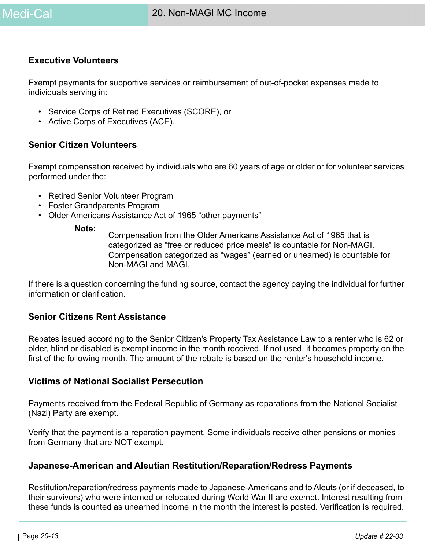#### **Executive Volunteers**

Exempt payments for supportive services or reimbursement of out-of-pocket expenses made to individuals serving in:

- Service Corps of Retired Executives (SCORE), or
- Active Corps of Executives (ACE).

### **Senior Citizen Volunteers**

Exempt compensation received by individuals who are 60 years of age or older or for volunteer services performed under the:

- Retired Senior Volunteer Program
- Foster Grandparents Program
- Older Americans Assistance Act of 1965 "other payments"

**Note:**

Compensation from the Older Americans Assistance Act of 1965 that is categorized as "free or reduced price meals" is countable for Non-MAGI. Compensation categorized as "wages" (earned or unearned) is countable for Non-MAGI and MAGI.

If there is a question concerning the funding source, contact the agency paying the individual for further information or clarification.

# **Senior Citizens Rent Assistance**

Rebates issued according to the Senior Citizen's Property Tax Assistance Law to a renter who is 62 or older, blind or disabled is exempt income in the month received. If not used, it becomes property on the first of the following month. The amount of the rebate is based on the renter's household income.

# **Victims of National Socialist Persecution**

Payments received from the Federal Republic of Germany as reparations from the National Socialist (Nazi) Party are exempt.

Verify that the payment is a reparation payment. Some individuals receive other pensions or monies from Germany that are NOT exempt.

#### **Japanese-American and Aleutian Restitution/Reparation/Redress Payments**

Restitution/reparation/redress payments made to Japanese-Americans and to Aleuts (or if deceased, to their survivors) who were interned or relocated during World War II are exempt. Interest resulting from these funds is counted as unearned income in the month the interest is posted. Verification is required.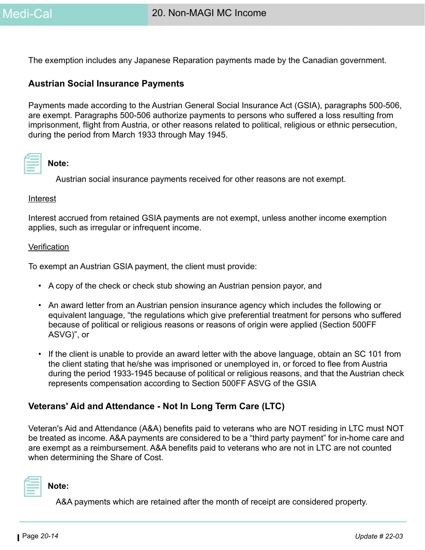The exemption includes any Japanese Reparation payments made by the Canadian government.

#### **Austrian Social Insurance Payments**

Payments made according to the Austrian General Social Insurance Act (GSIA), paragraphs 500-506, are exempt. Paragraphs 500-506 authorize payments to persons who suffered a loss resulting from imprisonment, flight from Austria, or other reasons related to political, religious or ethnic persecution, during the period from March 1933 through May 1945.

#### **Note:**

Austrian social insurance payments received for other reasons are not exempt.

#### **Interest**

Interest accrued from retained GSIA payments are not exempt, unless another income exemption applies, such as irregular or infrequent income.

#### **Verification**

To exempt an Austrian GSIA payment, the client must provide:

- A copy of the check or check stub showing an Austrian pension payor, and
- An award letter from an Austrian pension insurance agency which includes the following or equivalent language, "the regulations which give preferential treatment for persons who suffered because of political or religious reasons or reasons of origin were applied (Section 500FF ASVG)", or
- If the client is unable to provide an award letter with the above language, obtain an SC 101 from the client stating that he/she was imprisoned or unemployed in, or forced to flee from Austria during the period 1933-1945 because of political or religious reasons, and that the Austrian check represents compensation according to Section 500FF ASVG of the GSIA

#### **Veterans' Aid and Attendance - Not In Long Term Care (LTC)**

Veteran's Aid and Attendance (A&A) benefits paid to veterans who are NOT residing in LTC must NOT be treated as income. A&A payments are considered to be a "third party payment" for in-home care and are exempt as a reimbursement. A&A benefits paid to veterans who are not in LTC are not counted when determining the Share of Cost.



A&A payments which are retained after the month of receipt are considered property.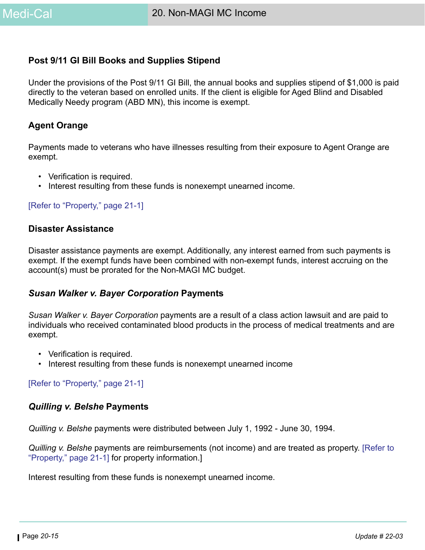### **Post 9/11 GI Bill Books and Supplies Stipend**

Under the provisions of the Post 9/11 GI Bill, the annual books and supplies stipend of \$1,000 is paid directly to the veteran based on enrolled units. If the client is eligible for Aged Blind and Disabled Medically Needy program (ABD MN), this income is exempt.

### **Agent Orange**

Payments made to veterans who have illnesses resulting from their exposure to Agent Orange are exempt.

- Verification is required.
- Interest resulting from these funds is nonexempt unearned income.

#### [\[Refer to "Property," page 21-1\]](#page-0-0)

#### <span id="page-14-0"></span>**Disaster Assistance**

Disaster assistance payments are exempt. Additionally, any interest earned from such payments is exempt. If the exempt funds have been combined with non-exempt funds, interest accruing on the account(s) must be prorated for the Non-MAGI MC budget.

#### *Susan Walker v. Bayer Corporation* **Payments**

*Susan Walker v. Bayer Corporation* payments are a result of a class action lawsuit and are paid to individuals who received contaminated blood products in the process of medical treatments and are exempt.

- Verification is required.
- Interest resulting from these funds is nonexempt unearned income

[\[Refer to "Property," page 21-1\]](#page-0-0)

#### *Quilling v. Belshe* **Payments**

*Quilling v. Belshe* payments were distributed between July 1, 1992 - June 30, 1994.

*Quilling v. Belshe* payments are reimbursements (not income) and are treated as property. [Refer to "Property," page 21-1] for property information.]

Interest resulting from these funds is nonexempt unearned income.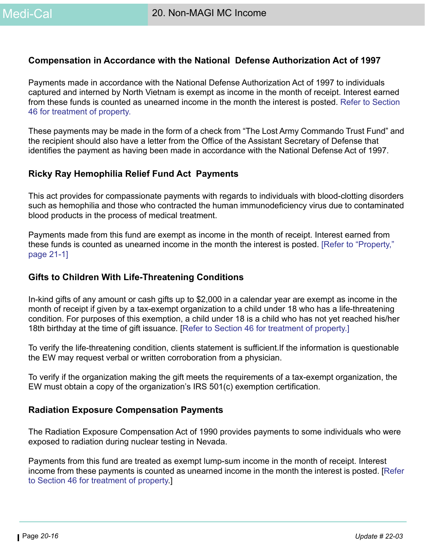### **Compensation in Accordance with the National Defense Authorization Act of 1997**

Payments made in accordance with the National Defense Authorization Act of 1997 to individuals captured and interned by North Vietnam is exempt as income in the month of receipt. Interest earned from these funds is counted as unearned income in the month the interest is posted. Refer to Section 46 for treatment of property.

These payments may be made in the form of a check from "The Lost Army Commando Trust Fund" and the recipient should also have a letter from the Office of the Assistant Secretary of Defense that identifies the payment as having been made in accordance with the National Defense Act of 1997.

#### **Ricky Ray Hemophilia Relief Fund Act Payments**

This act provides for compassionate payments with regards to individuals with blood-clotting disorders such as hemophilia and those who contracted the human immunodeficiency virus due to contaminated blood products in the process of medical treatment.

Payments made from this fund are exempt as income in the month of receipt. Interest earned from these funds is counted as unearned income in the month the interest is posted. [Refer to "Property," page 21-1]

#### **Gifts to Children With Life-Threatening Conditions**

In-kind gifts of any amount or cash gifts up to \$2,000 in a calendar year are exempt as income in the month of receipt if given by a tax-exempt organization to a child under 18 who has a life-threatening condition. For purposes of this exemption, a child under 18 is a child who has not yet reached his/her 18th birthday at the time of gift issuance. [Refer to Section 46 for treatment of property.]

To verify the life-threatening condition, clients statement is sufficient.If the information is questionable the EW may request verbal or written corroboration from a physician.

To verify if the organization making the gift meets the requirements of a tax-exempt organization, the EW must obtain a copy of the organization's IRS 501(c) exemption certification.

#### **Radiation Exposure Compensation Payments**

The Radiation Exposure Compensation Act of 1990 provides payments to some individuals who were exposed to radiation during nuclear testing in Nevada.

Payments from this fund are treated as exempt lump-sum income in the month of receipt. Interest income from these payments is counted as unearned income in the month the interest is posted. [Refer to Section 46 for treatment of property.]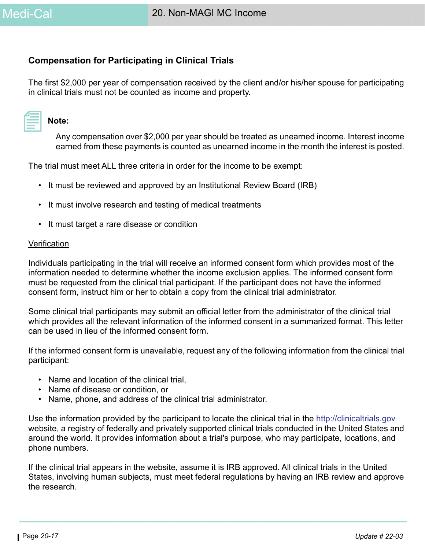# **Compensation for Participating in Clinical Trials**

The first \$2,000 per year of compensation received by the client and/or his/her spouse for participating in clinical trials must not be counted as income and property.

| and the state of the state of the state of the state of the state of the state of the state of the state of th |  |
|----------------------------------------------------------------------------------------------------------------|--|
|                                                                                                                |  |
|                                                                                                                |  |
|                                                                                                                |  |
|                                                                                                                |  |
| ________                                                                                                       |  |

#### **Note:**

Any compensation over \$2,000 per year should be treated as unearned income. Interest income earned from these payments is counted as unearned income in the month the interest is posted.

The trial must meet ALL three criteria in order for the income to be exempt:

- It must be reviewed and approved by an Institutional Review Board (IRB)
- It must involve research and testing of medical treatments
- It must target a rare disease or condition

#### **Verification**

Individuals participating in the trial will receive an informed consent form which provides most of the information needed to determine whether the income exclusion applies. The informed consent form must be requested from the clinical trial participant. If the participant does not have the informed consent form, instruct him or her to obtain a copy from the clinical trial administrator.

Some clinical trial participants may submit an official letter from the administrator of the clinical trial which provides all the relevant information of the informed consent in a summarized format. This letter can be used in lieu of the informed consent form.

If the informed consent form is unavailable, request any of the following information from the clinical trial participant:

- Name and location of the clinical trial,
- Name of disease or condition, or
- Name, phone, and address of the clinical trial administrator.

Use the information provided by the participant to locate the clinical trial in the <http://clinicaltrials.gov> website, a registry of federally and privately supported clinical trials conducted in the United States and around the world. It provides information about a trial's purpose, who may participate, locations, and phone numbers.

If the clinical trial appears in the website, assume it is IRB approved. All clinical trials in the United States, involving human subjects, must meet federal regulations by having an IRB review and approve the research.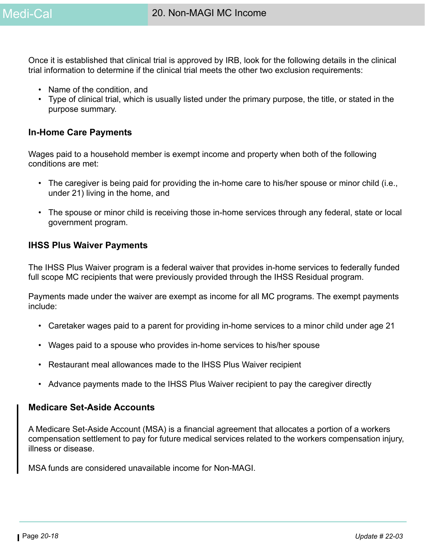Once it is established that clinical trial is approved by IRB, look for the following details in the clinical trial information to determine if the clinical trial meets the other two exclusion requirements:

- Name of the condition, and
- Type of clinical trial, which is usually listed under the primary purpose, the title, or stated in the purpose summary.

### **In-Home Care Payments**

Wages paid to a household member is exempt income and property when both of the following conditions are met:

- The caregiver is being paid for providing the in-home care to his/her spouse or minor child (i.e., under 21) living in the home, and
- The spouse or minor child is receiving those in-home services through any federal, state or local government program.

#### **IHSS Plus Waiver Payments**

The IHSS Plus Waiver program is a federal waiver that provides in-home services to federally funded full scope MC recipients that were previously provided through the IHSS Residual program.

Payments made under the waiver are exempt as income for all MC programs. The exempt payments include:

- Caretaker wages paid to a parent for providing in-home services to a minor child under age 21
- Wages paid to a spouse who provides in-home services to his/her spouse
- Restaurant meal allowances made to the IHSS Plus Waiver recipient
- Advance payments made to the IHSS Plus Waiver recipient to pay the caregiver directly

#### **Medicare Set-Aside Accounts**

A Medicare Set-Aside Account (MSA) is a financial agreement that allocates a portion of a workers compensation settlement to pay for future medical services related to the workers compensation injury, illness or disease.

MSA funds are considered unavailable income for Non-MAGI.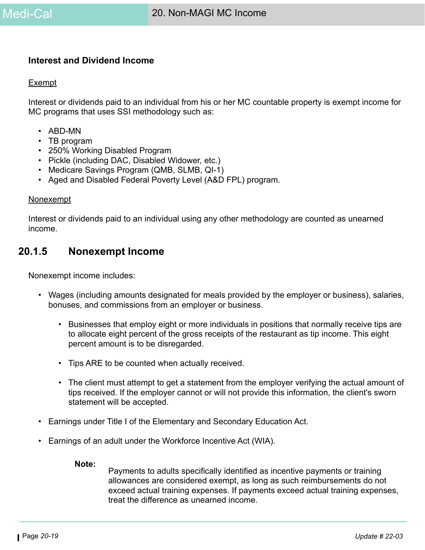#### **Interest and Dividend Income**

#### Exempt

Interest or dividends paid to an individual from his or her MC countable property is exempt income for MC programs that uses SSI methodology such as:

- ABD-MN
- TB program
- 250% Working Disabled Program
- Pickle (including DAC, Disabled Widower, etc.)
- Medicare Savings Program (QMB, SLMB, QI-1)
- Aged and Disabled Federal Poverty Level (A&D FPL) program.

#### **Nonexempt**

Interest or dividends paid to an individual using any other methodology are counted as unearned income.

# **20.1.5 Nonexempt Income**

Nonexempt income includes:

- Wages (including amounts designated for meals provided by the employer or business), salaries, bonuses, and commissions from an employer or business.
	- Businesses that employ eight or more individuals in positions that normally receive tips are to allocate eight percent of the gross receipts of the restaurant as tip income. This eight percent amount is to be disregarded.
	- Tips ARE to be counted when actually received.
	- The client must attempt to get a statement from the employer verifying the actual amount of tips received. If the employer cannot or will not provide this information, the client's sworn statement will be accepted.
- Earnings under Title I of the Elementary and Secondary Education Act.
- Earnings of an adult under the Workforce Incentive Act (WIA).

#### **Note:**

Payments to adults specifically identified as incentive payments or training allowances are considered exempt, as long as such reimbursements do not exceed actual training expenses. If payments exceed actual training expenses, treat the difference as unearned income.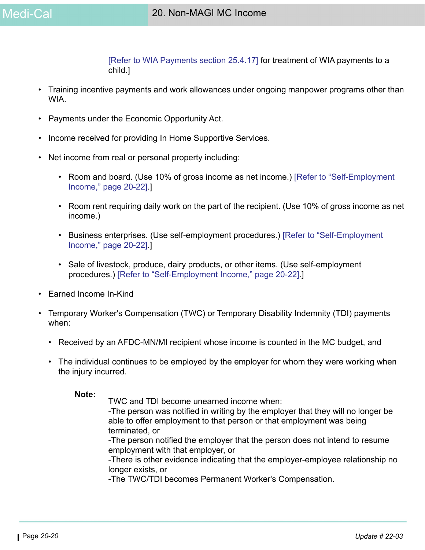[Refer to WIA Payments section 25.4.17] for treatment of WIA payments to a child.]

- Training incentive payments and work allowances under ongoing manpower programs other than WIA.
- Payments under the Economic Opportunity Act.
- Income received for providing In Home Supportive Services.
- Net income from real or personal property including:
	- Room and board. (Use 10% of gross income as net income.) [\[Refer to "Self-Employment](#page-21-0)  [Income," page 20-22\].](#page-21-0)]
	- Room rent requiring daily work on the part of the recipient. (Use 10% of gross income as net income.)
	- Business enterprises. (Use self-employment procedures.) [\[Refer to "Self-Employment](#page-21-0)  [Income," page 20-22\].](#page-21-0)]
	- Sale of livestock, produce, dairy products, or other items. (Use self-employment procedures.) [\[Refer to "Self-Employment Income," page 20-22\]](#page-21-0).]
- Earned Income In-Kind
- Temporary Worker's Compensation (TWC) or Temporary Disability Indemnity (TDI) payments when:
	- Received by an AFDC-MN/MI recipient whose income is counted in the MC budget, and
	- The individual continues to be employed by the employer for whom they were working when the injury incurred.

**Note:**

TWC and TDI become unearned income when:

-The person was notified in writing by the employer that they will no longer be able to offer employment to that person or that employment was being terminated, or

-The person notified the employer that the person does not intend to resume employment with that employer, or

-There is other evidence indicating that the employer-employee relationship no longer exists, or

-The TWC/TDI becomes Permanent Worker's Compensation.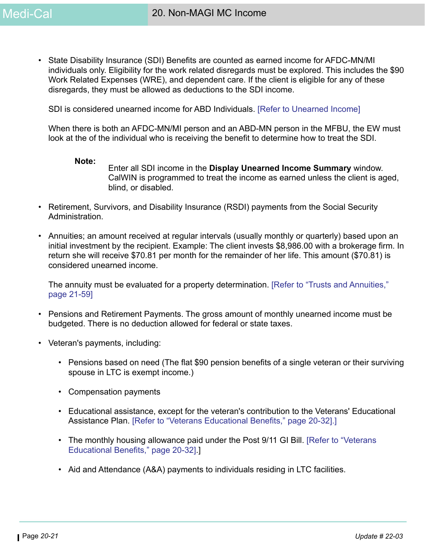• State Disability Insurance (SDI) Benefits are counted as earned income for AFDC-MN/MI individuals only. Eligibility for the work related disregards must be explored. This includes the \$90 Work Related Expenses (WRE), and dependent care. If the client is eligible for any of these disregards, they must be allowed as deductions to the SDI income.

SDI is considered unearned income for ABD Individuals. [Refer to Unearned Income]

When there is both an AFDC-MN/MI person and an ABD-MN person in the MFBU, the EW must look at the of the individual who is receiving the benefit to determine how to treat the SDI.

#### **Note:**

Enter all SDI income in the **Display Unearned Income Summary** window. CalWIN is programmed to treat the income as earned unless the client is aged, blind, or disabled.

- Retirement, Survivors, and Disability Insurance (RSDI) payments from the Social Security Administration.
- Annuities; an amount received at regular intervals (usually monthly or quarterly) based upon an initial investment by the recipient. Example: The client invests \$8,986.00 with a brokerage firm. In return she will receive \$70.81 per month for the remainder of her life. This amount (\$70.81) is considered unearned income.

The annuity must be evaluated for a property determination. [Refer to "Trusts and Annuities," page 21-59]

- Pensions and Retirement Payments. The gross amount of monthly unearned income must be budgeted. There is no deduction allowed for federal or state taxes.
- Veteran's payments, including:
	- Pensions based on need (The flat \$90 pension benefits of a single veteran or their surviving spouse in LTC is exempt income.)
	- Compensation payments
	- Educational assistance, except for the veteran's contribution to the Veterans' Educational Assistance Plan. [\[Refer to "Veterans Educational Benefits," page 20-32\].](#page-31-0)]
	- The monthly housing allowance paid under the Post 9/11 GI Bill. [Refer to "Veterans [Educational Benefits," page 20-32\].](#page-31-0)]
	- Aid and Attendance (A&A) payments to individuals residing in LTC facilities.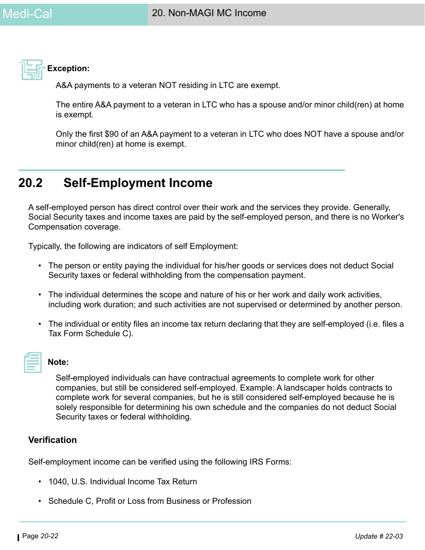

**Exception:**

A&A payments to a veteran NOT residing in LTC are exempt.

The entire A&A payment to a veteran in LTC who has a spouse and/or minor child(ren) at home is exempt.

Only the first \$90 of an A&A payment to a veteran in LTC who does NOT have a spouse and/or minor child(ren) at home is exempt.

# <span id="page-21-0"></span>**20.2 Self-Employment Income**

A self-employed person has direct control over their work and the services they provide. Generally, Social Security taxes and income taxes are paid by the self-employed person, and there is no Worker's Compensation coverage.

Typically, the following are indicators of self Employment:

- The person or entity paying the individual for his/her goods or services does not deduct Social Security taxes or federal withholding from the compensation payment.
- The individual determines the scope and nature of his or her work and daily work activities, including work duration; and such activities are not supervised or determined by another person.
- The individual or entity files an income tax return declaring that they are self-employed (i.e. files a Tax Form Schedule C).



#### **Note:**

Self-employed individuals can have contractual agreements to complete work for other companies, but still be considered self-employed. Example: A landscaper holds contracts to complete work for several companies, but he is still considered self-employed because he is solely responsible for determining his own schedule and the companies do not deduct Social Security taxes or federal withholding.

# **Verification**

Self-employment income can be verified using the following IRS Forms:

- 1040, U.S. Individual Income Tax Return
- Schedule C, Profit or Loss from Business or Profession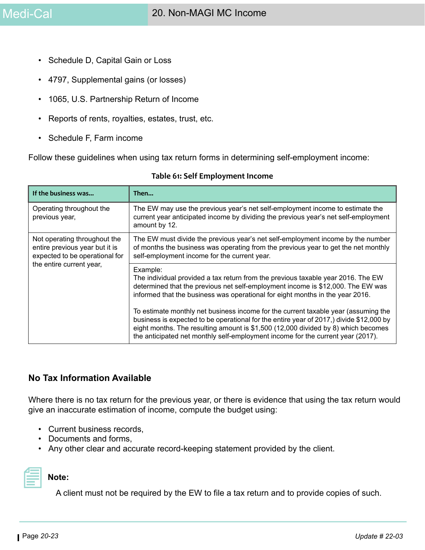- Schedule D, Capital Gain or Loss
- 4797, Supplemental gains (or losses)
- 1065, U.S. Partnership Return of Income
- Reports of rents, royalties, estates, trust, etc.
- Schedule F, Farm income

Follow these guidelines when using tax return forms in determining self-employment income:

| If the business was                                                                              | Then                                                                                                                                                                                                                                                                                                                                                                                                                                                                                                                                                                                                                      |
|--------------------------------------------------------------------------------------------------|---------------------------------------------------------------------------------------------------------------------------------------------------------------------------------------------------------------------------------------------------------------------------------------------------------------------------------------------------------------------------------------------------------------------------------------------------------------------------------------------------------------------------------------------------------------------------------------------------------------------------|
| Operating throughout the<br>previous year,                                                       | The EW may use the previous year's net self-employment income to estimate the<br>current year anticipated income by dividing the previous year's net self-employment<br>amount by 12.                                                                                                                                                                                                                                                                                                                                                                                                                                     |
| Not operating throughout the<br>entire previous year but it is<br>expected to be operational for | The EW must divide the previous year's net self-employment income by the number<br>of months the business was operating from the previous year to get the net monthly<br>self-employment income for the current year.                                                                                                                                                                                                                                                                                                                                                                                                     |
| the entire current year,                                                                         | Example:<br>The individual provided a tax return from the previous taxable year 2016. The EW<br>determined that the previous net self-employment income is \$12,000. The EW was<br>informed that the business was operational for eight months in the year 2016.<br>To estimate monthly net business income for the current taxable year (assuming the<br>business is expected to be operational for the entire year of 2017,) divide \$12,000 by<br>eight months. The resulting amount is \$1,500 (12,000 divided by 8) which becomes<br>the anticipated net monthly self-employment income for the current year (2017). |

#### **Table 61: Self Employment Income**

#### **No Tax Information Available**

Where there is no tax return for the previous year, or there is evidence that using the tax return would give an inaccurate estimation of income, compute the budget using:

- Current business records,
- Documents and forms,
- Any other clear and accurate record-keeping statement provided by the client.



#### **Note:**

A client must not be required by the EW to file a tax return and to provide copies of such.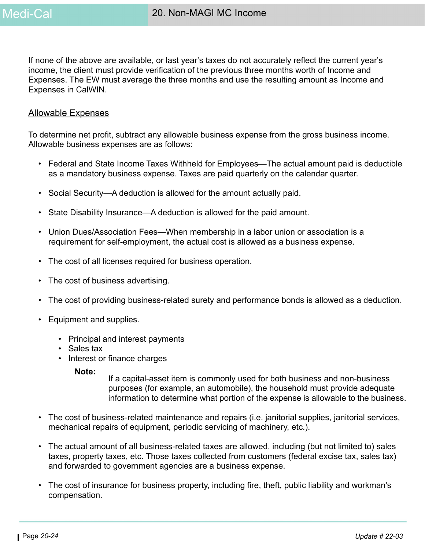If none of the above are available, or last year's taxes do not accurately reflect the current year's income, the client must provide verification of the previous three months worth of Income and Expenses. The EW must average the three months and use the resulting amount as Income and Expenses in CalWIN.

#### Allowable Expenses

To determine net profit, subtract any allowable business expense from the gross business income. Allowable business expenses are as follows:

- Federal and State Income Taxes Withheld for Employees—The actual amount paid is deductible as a mandatory business expense. Taxes are paid quarterly on the calendar quarter.
- Social Security—A deduction is allowed for the amount actually paid.
- State Disability Insurance—A deduction is allowed for the paid amount.
- Union Dues/Association Fees—When membership in a labor union or association is a requirement for self-employment, the actual cost is allowed as a business expense.
- The cost of all licenses required for business operation.
- The cost of business advertising.
- The cost of providing business-related surety and performance bonds is allowed as a deduction.
- Equipment and supplies.
	- Principal and interest payments
	- Sales tax
	- Interest or finance charges

**Note:**

If a capital-asset item is commonly used for both business and non-business purposes (for example, an automobile), the household must provide adequate information to determine what portion of the expense is allowable to the business.

- The cost of business-related maintenance and repairs (i.e. janitorial supplies, janitorial services, mechanical repairs of equipment, periodic servicing of machinery, etc.).
- The actual amount of all business-related taxes are allowed, including (but not limited to) sales taxes, property taxes, etc. Those taxes collected from customers (federal excise tax, sales tax) and forwarded to government agencies are a business expense.
- The cost of insurance for business property, including fire, theft, public liability and workman's compensation.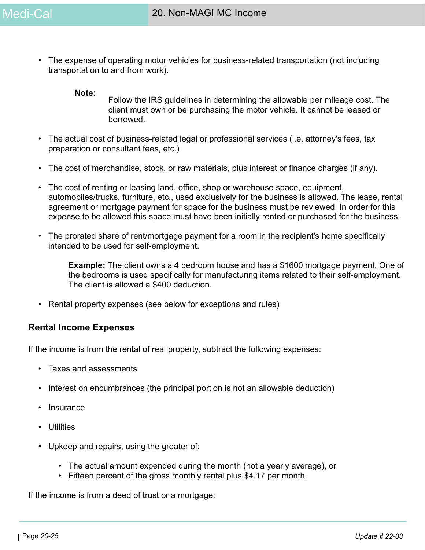• The expense of operating motor vehicles for business-related transportation (not including transportation to and from work).

#### **Note:**

Follow the IRS guidelines in determining the allowable per mileage cost. The client must own or be purchasing the motor vehicle. It cannot be leased or borrowed.

- The actual cost of business-related legal or professional services (i.e. attorney's fees, tax preparation or consultant fees, etc.)
- The cost of merchandise, stock, or raw materials, plus interest or finance charges (if any).
- The cost of renting or leasing land, office, shop or warehouse space, equipment, automobiles/trucks, furniture, etc., used exclusively for the business is allowed. The lease, rental agreement or mortgage payment for space for the business must be reviewed. In order for this expense to be allowed this space must have been initially rented or purchased for the business.
- The prorated share of rent/mortgage payment for a room in the recipient's home specifically intended to be used for self-employment.

**Example:** The client owns a 4 bedroom house and has a \$1600 mortgage payment. One of the bedrooms is used specifically for manufacturing items related to their self-employment. The client is allowed a \$400 deduction.

• Rental property expenses (see below for exceptions and rules)

#### **Rental Income Expenses**

If the income is from the rental of real property, subtract the following expenses:

- Taxes and assessments
- Interest on encumbrances (the principal portion is not an allowable deduction)
- **Insurance**
- Utilities
- Upkeep and repairs, using the greater of:
	- The actual amount expended during the month (not a yearly average), or
	- Fifteen percent of the gross monthly rental plus \$4.17 per month.

If the income is from a deed of trust or a mortgage: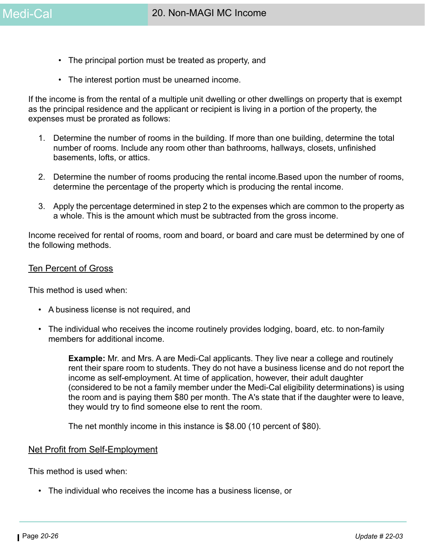- The principal portion must be treated as property, and
- The interest portion must be unearned income.

If the income is from the rental of a multiple unit dwelling or other dwellings on property that is exempt as the principal residence and the applicant or recipient is living in a portion of the property, the expenses must be prorated as follows:

- 1. Determine the number of rooms in the building. If more than one building, determine the total number of rooms. Include any room other than bathrooms, hallways, closets, unfinished basements, lofts, or attics.
- 2. Determine the number of rooms producing the rental income.Based upon the number of rooms, determine the percentage of the property which is producing the rental income.
- 3. Apply the percentage determined in step 2 to the expenses which are common to the property as a whole. This is the amount which must be subtracted from the gross income.

Income received for rental of rooms, room and board, or board and care must be determined by one of the following methods.

#### Ten Percent of Gross

This method is used when:

- A business license is not required, and
- The individual who receives the income routinely provides lodging, board, etc. to non-family members for additional income.

**Example:** Mr. and Mrs. A are Medi-Cal applicants. They live near a college and routinely rent their spare room to students. They do not have a business license and do not report the income as self-employment. At time of application, however, their adult daughter (considered to be not a family member under the Medi-Cal eligibility determinations) is using the room and is paying them \$80 per month. The A's state that if the daughter were to leave, they would try to find someone else to rent the room.

The net monthly income in this instance is \$8.00 (10 percent of \$80).

#### Net Profit from Self-Employment

This method is used when:

• The individual who receives the income has a business license, or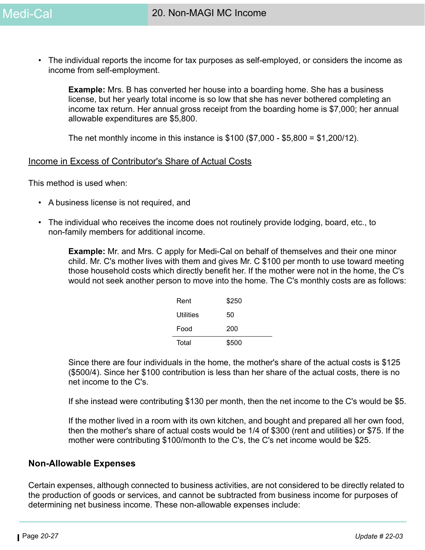• The individual reports the income for tax purposes as self-employed, or considers the income as income from self-employment.

**Example:** Mrs. B has converted her house into a boarding home. She has a business license, but her yearly total income is so low that she has never bothered completing an income tax return. Her annual gross receipt from the boarding home is \$7,000; her annual allowable expenditures are \$5,800.

The net monthly income in this instance is \$100 (\$7,000 - \$5,800 = \$1,200/12).

#### Income in Excess of Contributor's Share of Actual Costs

This method is used when:

- A business license is not required, and
- The individual who receives the income does not routinely provide lodging, board, etc., to non-family members for additional income.

**Example:** Mr. and Mrs. C apply for Medi-Cal on behalf of themselves and their one minor child. Mr. C's mother lives with them and gives Mr. C \$100 per month to use toward meeting those household costs which directly benefit her. If the mother were not in the home, the C's would not seek another person to move into the home. The C's monthly costs are as follows:

| Rent      | \$250 |
|-----------|-------|
| Utilities | 50    |
| Food      | 200   |
| Total     | \$500 |

Since there are four individuals in the home, the mother's share of the actual costs is \$125 (\$500/4). Since her \$100 contribution is less than her share of the actual costs, there is no net income to the C's.

If she instead were contributing \$130 per month, then the net income to the C's would be \$5.

If the mother lived in a room with its own kitchen, and bought and prepared all her own food, then the mother's share of actual costs would be 1/4 of \$300 (rent and utilities) or \$75. If the mother were contributing \$100/month to the C's, the C's net income would be \$25.

#### **Non-Allowable Expenses**

Certain expenses, although connected to business activities, are not considered to be directly related to the production of goods or services, and cannot be subtracted from business income for purposes of determining net business income. These non-allowable expenses include: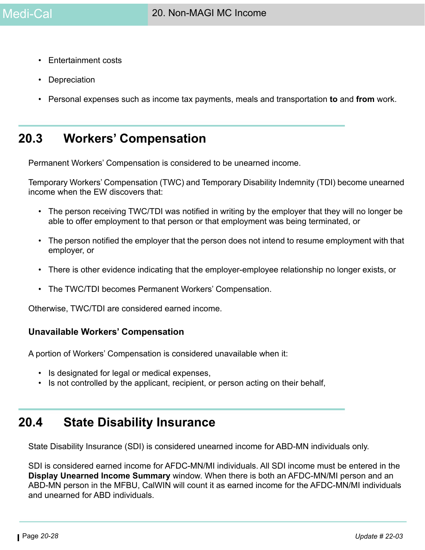- Entertainment costs
- Depreciation
- Personal expenses such as income tax payments, meals and transportation **to** and **from** work.

# **20.3 Workers' Compensation**

Permanent Workers' Compensation is considered to be unearned income.

Temporary Workers' Compensation (TWC) and Temporary Disability Indemnity (TDI) become unearned income when the EW discovers that:

- The person receiving TWC/TDI was notified in writing by the employer that they will no longer be able to offer employment to that person or that employment was being terminated, or
- The person notified the employer that the person does not intend to resume employment with that employer, or
- There is other evidence indicating that the employer-employee relationship no longer exists, or
- The TWC/TDI becomes Permanent Workers' Compensation.

Otherwise, TWC/TDI are considered earned income.

#### **Unavailable Workers' Compensation**

A portion of Workers' Compensation is considered unavailable when it:

- Is designated for legal or medical expenses,
- Is not controlled by the applicant, recipient, or person acting on their behalf,

# **20.4 State Disability Insurance**

State Disability Insurance (SDI) is considered unearned income for ABD-MN individuals only.

SDI is considered earned income for AFDC-MN/MI individuals. All SDI income must be entered in the **Display Unearned Income Summary** window. When there is both an AFDC-MN/MI person and an ABD-MN person in the MFBU, CalWIN will count it as earned income for the AFDC-MN/MI individuals and unearned for ABD individuals.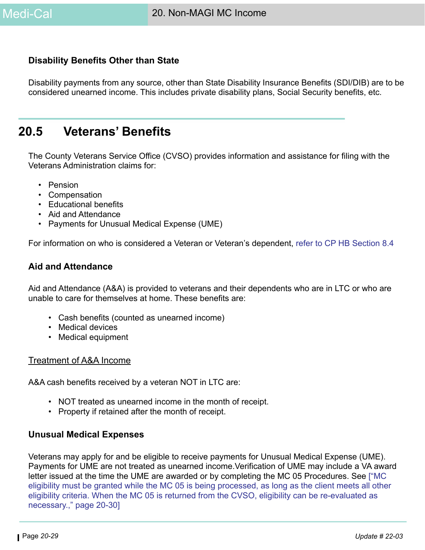# **Disability Benefits Other than State**

Disability payments from any source, other than State Disability Insurance Benefits (SDI/DIB) are to be considered unearned income. This includes private disability plans, Social Security benefits, etc.

# **20.5 Veterans' Benefits**

The County Veterans Service Office (CVSO) provides information and assistance for filing with the Veterans Administration claims for:

- Pension
- Compensation
- Educational benefits
- Aid and Attendance
- Payments for Unusual Medical Expense (UME)

For information on who is considered a Veteran or Veteran's dependent, refer to CP HB Section 8.4

#### <span id="page-28-0"></span>**Aid and Attendance**

Aid and Attendance (A&A) is provided to veterans and their dependents who are in LTC or who are unable to care for themselves at home. These benefits are:

- Cash benefits (counted as unearned income)
- Medical devices
- Medical equipment

#### Treatment of A&A Income

A&A cash benefits received by a veteran NOT in LTC are:

- NOT treated as unearned income in the month of receipt.
- Property if retained after the month of receipt.

#### **Unusual Medical Expenses**

Veterans may apply for and be eligible to receive payments for Unusual Medical Expense (UME). Payments for UME are not treated as unearned income.Verification of UME may include a VA award letter issued at the time the UME are awarded or by completing the MC 05 Procedures. See [\["MC](#page-29-0)  [eligibility must be granted while the MC 05 is being processed, as long as the client meets all other](#page-29-0)  eligibility criteria. When the MC 05 is returned from the CVSO, eligibility can be re-evaluated as [necessary.," page 20-30](#page-29-0)]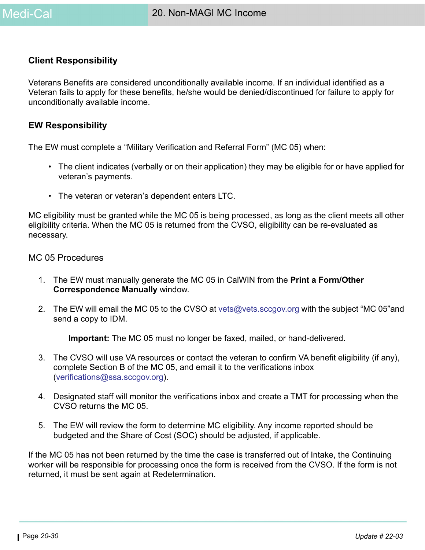### **Client Responsibility**

Veterans Benefits are considered unconditionally available income. If an individual identified as a Veteran fails to apply for these benefits, he/she would be denied/discontinued for failure to apply for unconditionally available income.

#### **EW Responsibility**

The EW must complete a "Military Verification and Referral Form" (MC 05) when:

- The client indicates (verbally or on their application) they may be eligible for or have applied for veteran's payments.
- The veteran or veteran's dependent enters LTC.

<span id="page-29-0"></span>MC eligibility must be granted while the MC 05 is being processed, as long as the client meets all other eligibility criteria. When the MC 05 is returned from the CVSO, eligibility can be re-evaluated as necessary.

#### MC 05 Procedures

- 1. The EW must manually generate the MC 05 in CalWIN from the **Print a Form/Other Correspondence Manually** window.
- 2. The EW will email the MC 05 to the CVSO at vets@vets.sccgov.org with the subject "MC 05"and send a copy to IDM.

**Important:** The MC 05 must no longer be faxed, mailed, or hand-delivered.

- 3. The CVSO will use VA resources or contact the veteran to confirm VA benefit eligibility (if any), complete Section B of the MC 05, and email it to the verifications inbox (verifications@ssa.sccgov.org).
- 4. Designated staff will monitor the verifications inbox and create a TMT for processing when the CVSO returns the MC 05.
- 5. The EW will review the form to determine MC eligibility. Any income reported should be budgeted and the Share of Cost (SOC) should be adjusted, if applicable.

If the MC 05 has not been returned by the time the case is transferred out of Intake, the Continuing worker will be responsible for processing once the form is received from the CVSO. If the form is not returned, it must be sent again at Redetermination.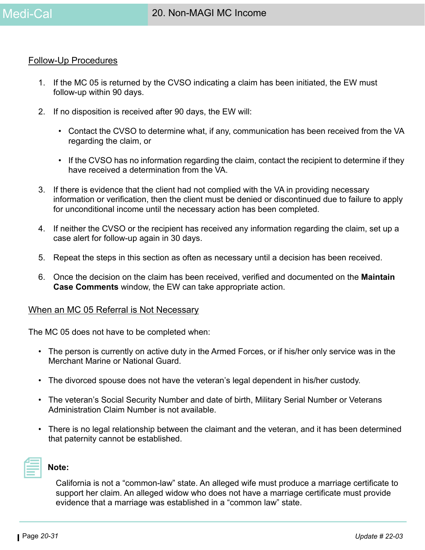#### Follow-Up Procedures

- 1. If the MC 05 is returned by the CVSO indicating a claim has been initiated, the EW must follow-up within 90 days.
- 2. If no disposition is received after 90 days, the EW will:
	- Contact the CVSO to determine what, if any, communication has been received from the VA regarding the claim, or
	- If the CVSO has no information regarding the claim, contact the recipient to determine if they have received a determination from the VA.
- 3. If there is evidence that the client had not complied with the VA in providing necessary information or verification, then the client must be denied or discontinued due to failure to apply for unconditional income until the necessary action has been completed.
- 4. If neither the CVSO or the recipient has received any information regarding the claim, set up a case alert for follow-up again in 30 days.
- 5. Repeat the steps in this section as often as necessary until a decision has been received.
- 6. Once the decision on the claim has been received, verified and documented on the **Maintain Case Comments** window, the EW can take appropriate action.

#### When an MC 05 Referral is Not Necessary

The MC 05 does not have to be completed when:

- The person is currently on active duty in the Armed Forces, or if his/her only service was in the Merchant Marine or National Guard.
- The divorced spouse does not have the veteran's legal dependent in his/her custody.
- The veteran's Social Security Number and date of birth, Military Serial Number or Veterans Administration Claim Number is not available.
- There is no legal relationship between the claimant and the veteran, and it has been determined that paternity cannot be established.



#### **Note:**

California is not a "common-law" state. An alleged wife must produce a marriage certificate to support her claim. An alleged widow who does not have a marriage certificate must provide evidence that a marriage was established in a "common law" state.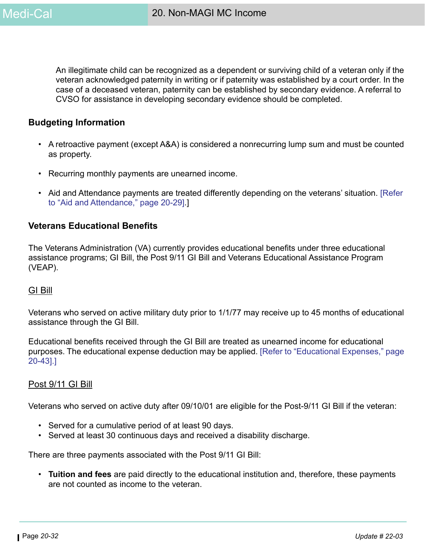An illegitimate child can be recognized as a dependent or surviving child of a veteran only if the veteran acknowledged paternity in writing or if paternity was established by a court order. In the case of a deceased veteran, paternity can be established by secondary evidence. A referral to CVSO for assistance in developing secondary evidence should be completed.

#### **Budgeting Information**

- A retroactive payment (except A&A) is considered a nonrecurring lump sum and must be counted as property.
- Recurring monthly payments are unearned income.
- Aid and Attendance payments are treated differently depending on the veterans' situation. [\[Refer](#page-28-0)  [to "Aid and Attendance," page 20-29\].](#page-28-0)]

#### <span id="page-31-0"></span>**Veterans Educational Benefits**

The Veterans Administration (VA) currently provides educational benefits under three educational assistance programs; GI Bill, the Post 9/11 GI Bill and Veterans Educational Assistance Program (VEAP).

#### GI Bill

Veterans who served on active military duty prior to 1/1/77 may receive up to 45 months of educational assistance through the GI Bill.

Educational benefits received through the GI Bill are treated as unearned income for educational purposes. The educational expense deduction may be applied. [\[Refer to "Educational Expenses," page](#page-42-0)  [20-43\].](#page-42-0)]

#### Post 9/11 GI Bill

Veterans who served on active duty after 09/10/01 are eligible for the Post-9/11 GI Bill if the veteran:

- Served for a cumulative period of at least 90 days.
- Served at least 30 continuous days and received a disability discharge.

There are three payments associated with the Post 9/11 GI Bill:

• **Tuition and fees** are paid directly to the educational institution and, therefore, these payments are not counted as income to the veteran.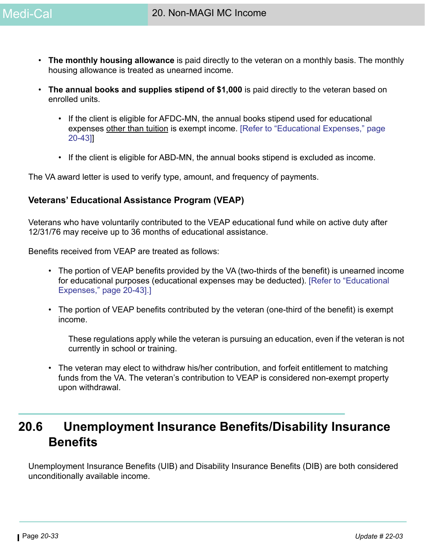- **The monthly housing allowance** is paid directly to the veteran on a monthly basis. The monthly housing allowance is treated as unearned income.
- **The annual books and supplies stipend of \$1,000** is paid directly to the veteran based on enrolled units.
	- If the client is eligible for AFDC-MN, the annual books stipend used for educational expenses other than tuition is exempt income. [\[Refer to "Educational Expenses," page](#page-42-0)  [20-43\]\]](#page-42-0)
	- If the client is eligible for ABD-MN, the annual books stipend is excluded as income.

The VA award letter is used to verify type, amount, and frequency of payments.

### **Veterans' Educational Assistance Program (VEAP)**

Veterans who have voluntarily contributed to the VEAP educational fund while on active duty after 12/31/76 may receive up to 36 months of educational assistance.

Benefits received from VEAP are treated as follows:

- The portion of VEAP benefits provided by the VA (two-thirds of the benefit) is unearned income for educational purposes (educational expenses may be deducted). [\[Refer to "Educational](#page-42-0)  [Expenses," page 20-43\].](#page-42-0)]
- The portion of VEAP benefits contributed by the veteran (one-third of the benefit) is exempt income.

These regulations apply while the veteran is pursuing an education, even if the veteran is not currently in school or training.

• The veteran may elect to withdraw his/her contribution, and forfeit entitlement to matching funds from the VA. The veteran's contribution to VEAP is considered non-exempt property upon withdrawal.

# **20.6 Unemployment Insurance Benefits/Disability Insurance Benefits**

Unemployment Insurance Benefits (UIB) and Disability Insurance Benefits (DIB) are both considered unconditionally available income.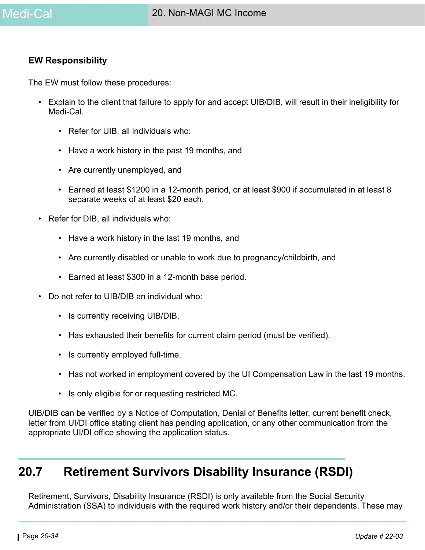#### **EW Responsibility**

The EW must follow these procedures:

- Explain to the client that failure to apply for and accept UIB/DIB, will result in their ineligibility for Medi-Cal.
	- Refer for UIB, all individuals who:
	- Have a work history in the past 19 months, and
	- Are currently unemployed, and
	- Earned at least \$1200 in a 12-month period, or at least \$900 if accumulated in at least 8 separate weeks of at least \$20 each.
- Refer for DIB, all individuals who:
	- Have a work history in the last 19 months, and
	- Are currently disabled or unable to work due to pregnancy/childbirth, and
	- Earned at least \$300 in a 12-month base period.
- Do not refer to UIB/DIB an individual who:
	- Is currently receiving UIB/DIB.
	- Has exhausted their benefits for current claim period (must be verified).
	- Is currently employed full-time.
	- Has not worked in employment covered by the UI Compensation Law in the last 19 months.
	- Is only eligible for or requesting restricted MC.

UIB/DIB can be verified by a Notice of Computation, Denial of Benefits letter, current benefit check, letter from UI/DI office stating client has pending application, or any other communication from the appropriate UI/DI office showing the application status.

# **20.7 Retirement Survivors Disability Insurance (RSDI)**

Retirement, Survivors, Disability Insurance (RSDI) is only available from the Social Security Administration (SSA) to individuals with the required work history and/or their dependents. These may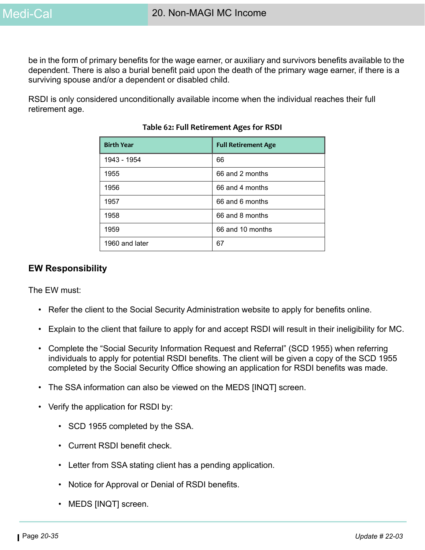be in the form of primary benefits for the wage earner, or auxiliary and survivors benefits available to the dependent. There is also a burial benefit paid upon the death of the primary wage earner, if there is a surviving spouse and/or a dependent or disabled child.

RSDI is only considered unconditionally available income when the individual reaches their full retirement age.

| <b>Birth Year</b> | <b>Full Retirement Age</b> |
|-------------------|----------------------------|
| 1943 - 1954       | 66                         |
| 1955              | 66 and 2 months            |
| 1956              | 66 and 4 months            |
| 1957              | 66 and 6 months            |
| 1958              | 66 and 8 months            |
| 1959              | 66 and 10 months           |
| 1960 and later    | 67                         |

#### **Table 62: Full Retirement Ages for RSDI**

#### **EW Responsibility**

The EW must:

- Refer the client to the Social Security Administration website to apply for benefits online.
- Explain to the client that failure to apply for and accept RSDI will result in their ineligibility for MC.
- Complete the "Social Security Information Request and Referral" (SCD 1955) when referring individuals to apply for potential RSDI benefits. The client will be given a copy of the SCD 1955 completed by the Social Security Office showing an application for RSDI benefits was made.
- The SSA information can also be viewed on the MEDS [INQT] screen.
- Verify the application for RSDI by:
	- SCD 1955 completed by the SSA.
	- Current RSDI benefit check.
	- Letter from SSA stating client has a pending application.
	- Notice for Approval or Denial of RSDI benefits.
	- MEDS [INQT] screen.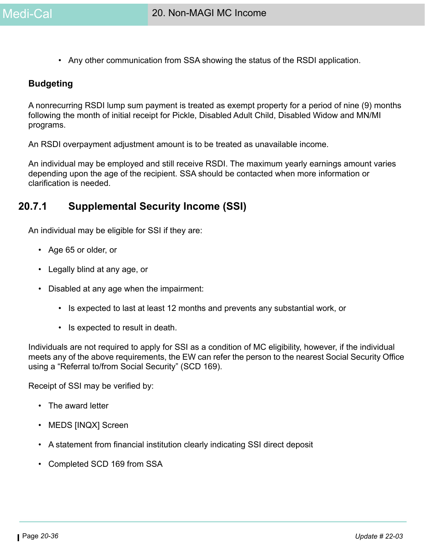• Any other communication from SSA showing the status of the RSDI application.

#### **Budgeting**

A nonrecurring RSDI lump sum payment is treated as exempt property for a period of nine (9) months following the month of initial receipt for Pickle, Disabled Adult Child, Disabled Widow and MN/MI programs.

An RSDI overpayment adjustment amount is to be treated as unavailable income.

An individual may be employed and still receive RSDI. The maximum yearly earnings amount varies depending upon the age of the recipient. SSA should be contacted when more information or clarification is needed.

# **20.7.1 Supplemental Security Income (SSI)**

An individual may be eligible for SSI if they are:

- Age 65 or older, or
- Legally blind at any age, or
- Disabled at any age when the impairment:
	- Is expected to last at least 12 months and prevents any substantial work, or
	- Is expected to result in death.

Individuals are not required to apply for SSI as a condition of MC eligibility, however, if the individual meets any of the above requirements, the EW can refer the person to the nearest Social Security Office using a "Referral to/from Social Security" (SCD 169).

Receipt of SSI may be verified by:

- The award letter
- MEDS [INQX] Screen
- A statement from financial institution clearly indicating SSI direct deposit
- Completed SCD 169 from SSA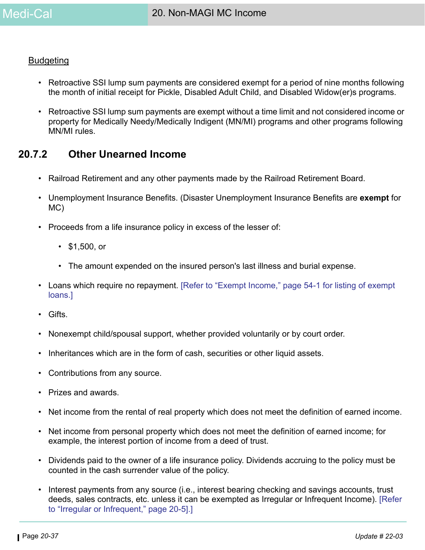#### **Budgeting**

- Retroactive SSI lump sum payments are considered exempt for a period of nine months following the month of initial receipt for Pickle, Disabled Adult Child, and Disabled Widow(er)s programs.
- Retroactive SSI lump sum payments are exempt without a time limit and not considered income or property for Medically Needy/Medically Indigent (MN/MI) programs and other programs following MN/MI rules.

# **20.7.2 Other Unearned Income**

- Railroad Retirement and any other payments made by the Railroad Retirement Board.
- Unemployment Insurance Benefits. (Disaster Unemployment Insurance Benefits are **exempt** for MC)
- Proceeds from a life insurance policy in excess of the lesser of:
	- \$1,500, or
	- The amount expended on the insured person's last illness and burial expense.
- Loans which require no repayment. [Refer to "Exempt Income," page 54-1 for listing of exempt loans.]
- Gifts.
- Nonexempt child/spousal support, whether provided voluntarily or by court order.
- Inheritances which are in the form of cash, securities or other liquid assets.
- Contributions from any source.
- Prizes and awards.
- Net income from the rental of real property which does not meet the definition of earned income.
- Net income from personal property which does not meet the definition of earned income; for example, the interest portion of income from a deed of trust.
- Dividends paid to the owner of a life insurance policy. Dividends accruing to the policy must be counted in the cash surrender value of the policy.
- Interest payments from any source (i.e., interest bearing checking and savings accounts, trust deeds, sales contracts, etc. unless it can be exempted as Irregular or Infrequent Income). [\[Refer](#page-4-0)  [to "Irregular or Infrequent," page 20-5\]](#page-4-0).]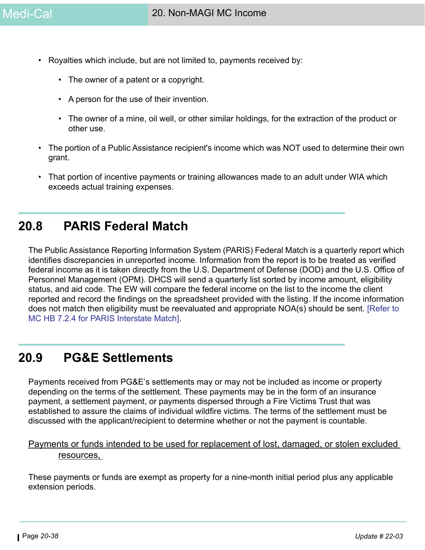- Royalties which include, but are not limited to, payments received by:
	- The owner of a patent or a copyright.
	- A person for the use of their invention.
	- The owner of a mine, oil well, or other similar holdings, for the extraction of the product or other use.
- The portion of a Public Assistance recipient's income which was NOT used to determine their own grant.
- That portion of incentive payments or training allowances made to an adult under WIA which exceeds actual training expenses.

# **20.8 PARIS Federal Match**

The Public Assistance Reporting Information System (PARIS) Federal Match is a quarterly report which identifies discrepancies in unreported income. Information from the report is to be treated as verified federal income as it is taken directly from the U.S. Department of Defense (DOD) and the U.S. Office of Personnel Management (OPM). DHCS will send a quarterly list sorted by income amount, eligibility status, and aid code. The EW will compare the federal income on the list to the income the client reported and record the findings on the spreadsheet provided with the listing. If the income information does not match then eligibility must be reevaluated and appropriate NOA(s) should be sent. [\[Refer to](https://ssaconnect.sccgov.org/ssa_departments/debs_program/Documents/handbooks/medical/mcchap07.pdf#page=5)  [MC HB 7.2.4 for PARIS Interstate Match\]](https://ssaconnect.sccgov.org/ssa_departments/debs_program/Documents/handbooks/medical/mcchap07.pdf#page=5).

# **20.9 PG&E Settlements**

Payments received from PG&E's settlements may or may not be included as income or property depending on the terms of the settlement. These payments may be in the form of an insurance payment, a settlement payment, or payments dispersed through a Fire Victims Trust that was established to assure the claims of individual wildfire victims. The terms of the settlement must be discussed with the applicant/recipient to determine whether or not the payment is countable.

# Payments or funds intended to be used for replacement of lost, damaged, or stolen excluded resources,

These payments or funds are exempt as property for a nine-month initial period plus any applicable extension periods.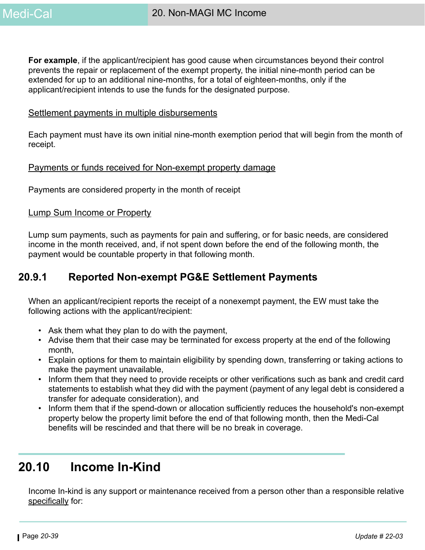**For example**, if the applicant/recipient has good cause when circumstances beyond their control prevents the repair or replacement of the exempt property, the initial nine-month period can be extended for up to an additional nine-months, for a total of eighteen-months, only if the applicant/recipient intends to use the funds for the designated purpose.

#### Settlement payments in multiple disbursements

Each payment must have its own initial nine-month exemption period that will begin from the month of receipt.

#### Payments or funds received for Non-exempt property damage

Payments are considered property in the month of receipt

#### Lump Sum Income or Property

Lump sum payments, such as payments for pain and suffering, or for basic needs, are considered income in the month received, and, if not spent down before the end of the following month, the payment would be countable property in that following month.

# **20.9.1 Reported Non-exempt PG&E Settlement Payments**

When an applicant/recipient reports the receipt of a nonexempt payment, the EW must take the following actions with the applicant/recipient:

- Ask them what they plan to do with the payment,
- Advise them that their case may be terminated for excess property at the end of the following month,
- Explain options for them to maintain eligibility by spending down, transferring or taking actions to make the payment unavailable,
- Inform them that they need to provide receipts or other verifications such as bank and credit card statements to establish what they did with the payment (payment of any legal debt is considered a transfer for adequate consideration), and
- Inform them that if the spend-down or allocation sufficiently reduces the household's non-exempt property below the property limit before the end of that following month, then the Medi-Cal benefits will be rescinded and that there will be no break in coverage.

# **20.10 Income In-Kind**

Income In-kind is any support or maintenance received from a person other than a responsible relative specifically for: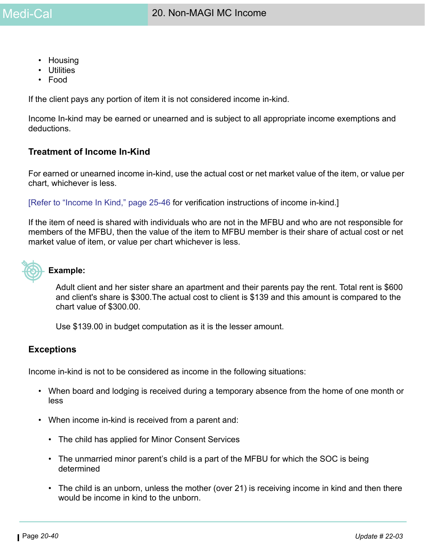- Housing
- Utilities
- Food

If the client pays any portion of item it is not considered income in-kind.

Income In-kind may be earned or unearned and is subject to all appropriate income exemptions and deductions.

### **Treatment of Income In-Kind**

For earned or unearned income in-kind, use the actual cost or net market value of the item, or value per chart, whichever is less.

[Refer to "Income In Kind," page 25-46 for verification instructions of income in-kind.]

If the item of need is shared with individuals who are not in the MFBU and who are not responsible for members of the MFBU, then the value of the item to MFBU member is their share of actual cost or net market value of item, or value per chart whichever is less.



#### **Example:**

Adult client and her sister share an apartment and their parents pay the rent. Total rent is \$600 and client's share is \$300.The actual cost to client is \$139 and this amount is compared to the chart value of \$300.00.

Use \$139.00 in budget computation as it is the lesser amount.

#### **Exceptions**

Income in-kind is not to be considered as income in the following situations:

- When board and lodging is received during a temporary absence from the home of one month or less
- When income in-kind is received from a parent and:
	- The child has applied for Minor Consent Services
	- The unmarried minor parent's child is a part of the MFBU for which the SOC is being determined
	- The child is an unborn, unless the mother (over 21) is receiving income in kind and then there would be income in kind to the unborn.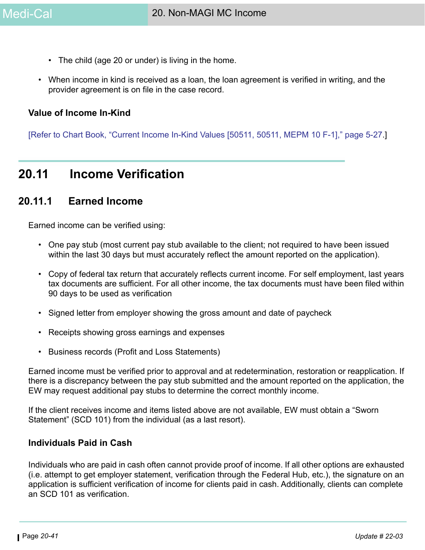- The child (age 20 or under) is living in the home.
- When income in kind is received as a loan, the loan agreement is verified in writing, and the provider agreement is on file in the case record.

#### **Value of Income In-Kind**

[Refer to Chart Book, "Current Income In-Kind Values [50511, 50511, MEPM 10 F-1]," page 5-27.]

# **20.11 Income Verification**

# **20.11.1 Earned Income**

Earned income can be verified using:

- One pay stub (most current pay stub available to the client; not required to have been issued within the last 30 days but must accurately reflect the amount reported on the application).
- Copy of federal tax return that accurately reflects current income. For self employment, last years tax documents are sufficient. For all other income, the tax documents must have been filed within 90 days to be used as verification
- Signed letter from employer showing the gross amount and date of paycheck
- Receipts showing gross earnings and expenses
- Business records (Profit and Loss Statements)

Earned income must be verified prior to approval and at redetermination, restoration or reapplication. If there is a discrepancy between the pay stub submitted and the amount reported on the application, the EW may request additional pay stubs to determine the correct monthly income.

If the client receives income and items listed above are not available, EW must obtain a "Sworn Statement" (SCD 101) from the individual (as a last resort).

#### **Individuals Paid in Cash**

Individuals who are paid in cash often cannot provide proof of income. If all other options are exhausted (i.e. attempt to get employer statement, verification through the Federal Hub, etc.), the signature on an application is sufficient verification of income for clients paid in cash. Additionally, clients can complete an SCD 101 as verification.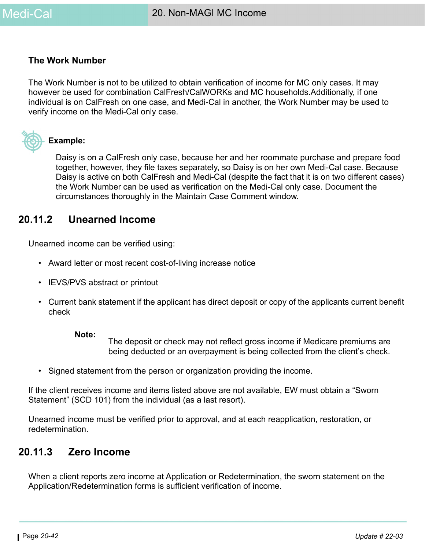#### **The Work Number**

The Work Number is not to be utilized to obtain verification of income for MC only cases. It may however be used for combination CalFresh/CalWORKs and MC households.Additionally, if one individual is on CalFresh on one case, and Medi-Cal in another, the Work Number may be used to verify income on the Medi-Cal only case.



#### **Example:**

Daisy is on a CalFresh only case, because her and her roommate purchase and prepare food together, however, they file taxes separately, so Daisy is on her own Medi-Cal case. Because Daisy is active on both CalFresh and Medi-Cal (despite the fact that it is on two different cases) the Work Number can be used as verification on the Medi-Cal only case. Document the circumstances thoroughly in the Maintain Case Comment window.

# **20.11.2 Unearned Income**

Unearned income can be verified using:

- Award letter or most recent cost-of-living increase notice
- IEVS/PVS abstract or printout
- Current bank statement if the applicant has direct deposit or copy of the applicants current benefit check

#### **Note:**

The deposit or check may not reflect gross income if Medicare premiums are being deducted or an overpayment is being collected from the client's check.

• Signed statement from the person or organization providing the income.

If the client receives income and items listed above are not available, EW must obtain a "Sworn Statement" (SCD 101) from the individual (as a last resort).

Unearned income must be verified prior to approval, and at each reapplication, restoration, or redetermination.

# **20.11.3 Zero Income**

When a client reports zero income at Application or Redetermination, the sworn statement on the Application/Redetermination forms is sufficient verification of income.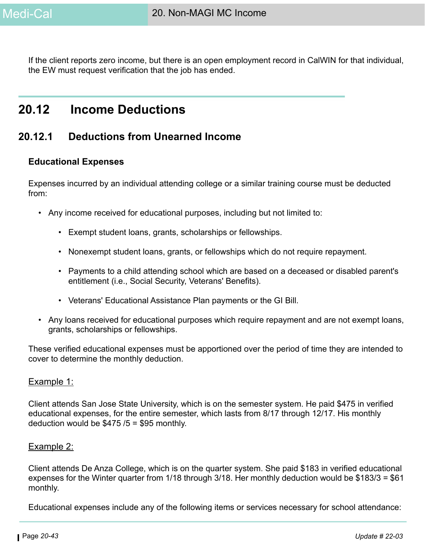If the client reports zero income, but there is an open employment record in CalWIN for that individual, the EW must request verification that the job has ended.

# **20.12 Income Deductions**

# **20.12.1 Deductions from Unearned Income**

# <span id="page-42-0"></span>**Educational Expenses**

Expenses incurred by an individual attending college or a similar training course must be deducted from:

- Any income received for educational purposes, including but not limited to:
	- Exempt student loans, grants, scholarships or fellowships.
	- Nonexempt student loans, grants, or fellowships which do not require repayment.
	- Payments to a child attending school which are based on a deceased or disabled parent's entitlement (i.e., Social Security, Veterans' Benefits).
	- Veterans' Educational Assistance Plan payments or the GI Bill.
- Any loans received for educational purposes which require repayment and are not exempt loans, grants, scholarships or fellowships.

These verified educational expenses must be apportioned over the period of time they are intended to cover to determine the monthly deduction.

#### Example 1:

Client attends San Jose State University, which is on the semester system. He paid \$475 in verified educational expenses, for the entire semester, which lasts from 8/17 through 12/17. His monthly deduction would be  $$475/5 = $95$  monthly.

#### Example 2:

Client attends De Anza College, which is on the quarter system. She paid \$183 in verified educational expenses for the Winter quarter from 1/18 through 3/18. Her monthly deduction would be \$183/3 = \$61 monthly.

Educational expenses include any of the following items or services necessary for school attendance: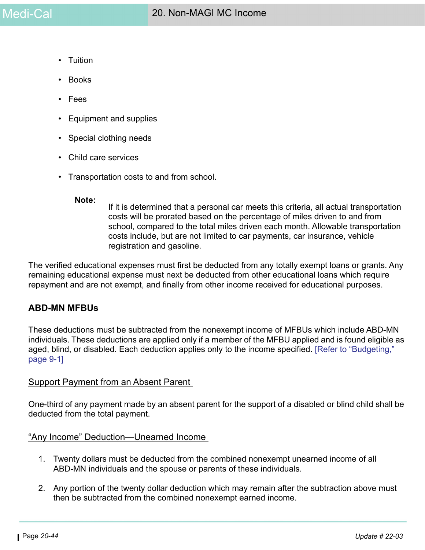- Tuition
- Books
- Fees
- Equipment and supplies
- Special clothing needs
- Child care services
- Transportation costs to and from school.

#### **Note:**

If it is determined that a personal car meets this criteria, all actual transportation costs will be prorated based on the percentage of miles driven to and from school, compared to the total miles driven each month. Allowable transportation costs include, but are not limited to car payments, car insurance, vehicle registration and gasoline.

The verified educational expenses must first be deducted from any totally exempt loans or grants. Any remaining educational expense must next be deducted from other educational loans which require repayment and are not exempt, and finally from other income received for educational purposes.

#### **ABD-MN MFBUs**

These deductions must be subtracted from the nonexempt income of MFBUs which include ABD-MN individuals. These deductions are applied only if a member of the MFBU applied and is found eligible as aged, blind, or disabled. Each deduction applies only to the income specified. [Refer to "Budgeting," page 9-1]

#### **Support Payment from an Absent Parent**

One-third of any payment made by an absent parent for the support of a disabled or blind child shall be deducted from the total payment.

#### "Any Income" Deduction—Unearned Income

- 1. Twenty dollars must be deducted from the combined nonexempt unearned income of all ABD-MN individuals and the spouse or parents of these individuals.
- 2. Any portion of the twenty dollar deduction which may remain after the subtraction above must then be subtracted from the combined nonexempt earned income.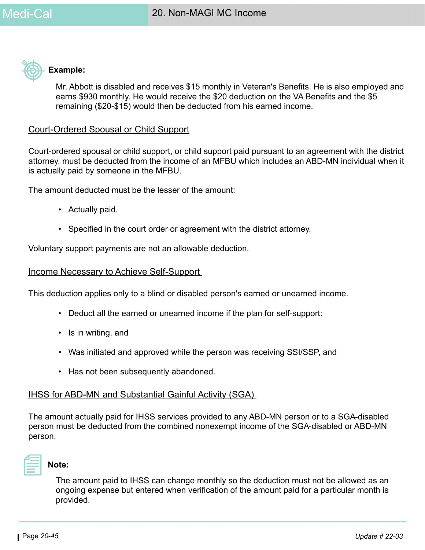

### **Example:**

Mr. Abbott is disabled and receives \$15 monthly in Veteran's Benefits. He is also employed and earns \$930 monthly. He would receive the \$20 deduction on the VA Benefits and the \$5 remaining (\$20-\$15) would then be deducted from his earned income.

### Court-Ordered Spousal or Child Support

Court-ordered spousal or child support, or child support paid pursuant to an agreement with the district attorney, must be deducted from the income of an MFBU which includes an ABD-MN individual when it is actually paid by someone in the MFBU.

The amount deducted must be the lesser of the amount:

- Actually paid.
- Specified in the court order or agreement with the district attorney.

Voluntary support payments are not an allowable deduction.

#### Income Necessary to Achieve Self-Support

This deduction applies only to a blind or disabled person's earned or unearned income.

- Deduct all the earned or unearned income if the plan for self-support:
- Is in writing, and
- Was initiated and approved while the person was receiving SSI/SSP, and
- Has not been subsequently abandoned.

#### IHSS for ABD-MN and Substantial Gainful Activity (SGA)

The amount actually paid for IHSS services provided to any ABD-MN person or to a SGA-disabled person must be deducted from the combined nonexempt income of the SGA-disabled or ABD-MN person.



#### **Note:**

The amount paid to IHSS can change monthly so the deduction must not be allowed as an ongoing expense but entered when verification of the amount paid for a particular month is provided.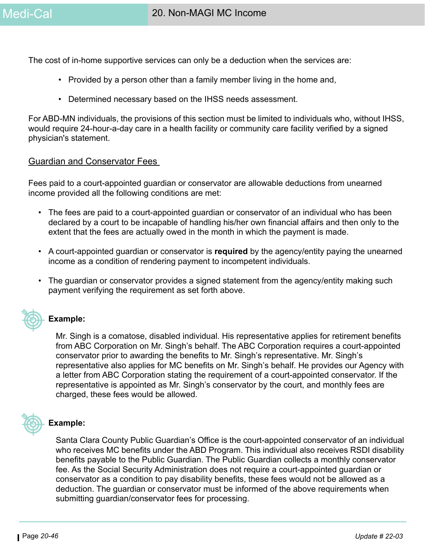The cost of in-home supportive services can only be a deduction when the services are:

- Provided by a person other than a family member living in the home and,
- Determined necessary based on the IHSS needs assessment.

For ABD-MN individuals, the provisions of this section must be limited to individuals who, without IHSS, would require 24-hour-a-day care in a health facility or community care facility verified by a signed physician's statement.

#### Guardian and Conservator Fees

Fees paid to a court-appointed guardian or conservator are allowable deductions from unearned income provided all the following conditions are met:

- The fees are paid to a court-appointed guardian or conservator of an individual who has been declared by a court to be incapable of handling his/her own financial affairs and then only to the extent that the fees are actually owed in the month in which the payment is made.
- A court-appointed guardian or conservator is **required** by the agency/entity paying the unearned income as a condition of rendering payment to incompetent individuals.
- The guardian or conservator provides a signed statement from the agency/entity making such payment verifying the requirement as set forth above.



#### **Example:**

Mr. Singh is a comatose, disabled individual. His representative applies for retirement benefits from ABC Corporation on Mr. Singh's behalf. The ABC Corporation requires a court-appointed conservator prior to awarding the benefits to Mr. Singh's representative. Mr. Singh's representative also applies for MC benefits on Mr. Singh's behalf. He provides our Agency with a letter from ABC Corporation stating the requirement of a court-appointed conservator. If the representative is appointed as Mr. Singh's conservator by the court, and monthly fees are charged, these fees would be allowed.



#### **Example:**

Santa Clara County Public Guardian's Office is the court-appointed conservator of an individual who receives MC benefits under the ABD Program. This individual also receives RSDI disability benefits payable to the Public Guardian. The Public Guardian collects a monthly conservator fee. As the Social Security Administration does not require a court-appointed guardian or conservator as a condition to pay disability benefits, these fees would not be allowed as a deduction. The guardian or conservator must be informed of the above requirements when submitting guardian/conservator fees for processing.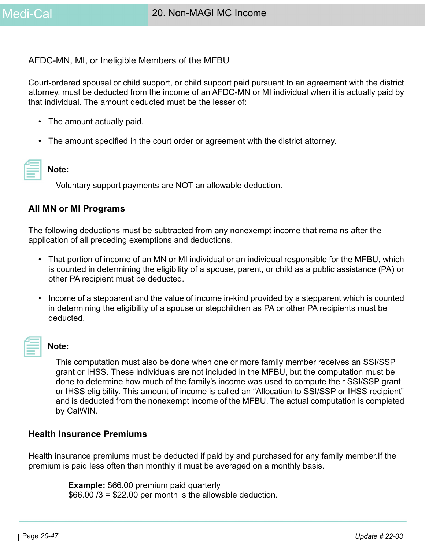### AFDC-MN, MI, or Ineligible Members of the MFBU

Court-ordered spousal or child support, or child support paid pursuant to an agreement with the district attorney, must be deducted from the income of an AFDC-MN or MI individual when it is actually paid by that individual. The amount deducted must be the lesser of:

- The amount actually paid.
- The amount specified in the court order or agreement with the district attorney.

# **Note:**

Voluntary support payments are NOT an allowable deduction.

#### **All MN or MI Programs**

The following deductions must be subtracted from any nonexempt income that remains after the application of all preceding exemptions and deductions.

- That portion of income of an MN or MI individual or an individual responsible for the MFBU, which is counted in determining the eligibility of a spouse, parent, or child as a public assistance (PA) or other PA recipient must be deducted.
- Income of a stepparent and the value of income in-kind provided by a stepparent which is counted in determining the eligibility of a spouse or stepchildren as PA or other PA recipients must be deducted.

# **Note:**

This computation must also be done when one or more family member receives an SSI/SSP grant or IHSS. These individuals are not included in the MFBU, but the computation must be done to determine how much of the family's income was used to compute their SSI/SSP grant or IHSS eligibility. This amount of income is called an "Allocation to SSI/SSP or IHSS recipient" and is deducted from the nonexempt income of the MFBU. The actual computation is completed by CalWIN.

#### **Health Insurance Premiums**

Health insurance premiums must be deducted if paid by and purchased for any family member.If the premium is paid less often than monthly it must be averaged on a monthly basis.

> **Example:** \$66.00 premium paid quarterly  $$66.00/3 = $22.00$  per month is the allowable deduction.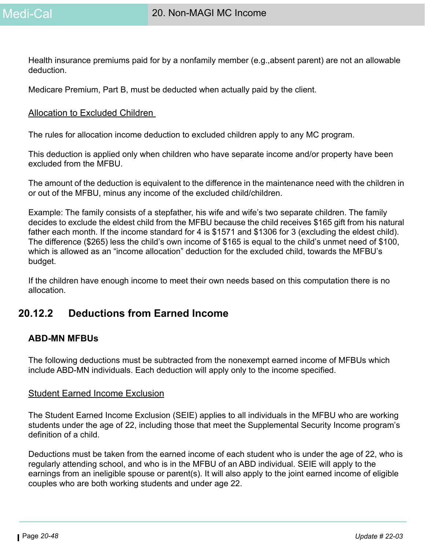Health insurance premiums paid for by a nonfamily member (e.g.,absent parent) are not an allowable deduction.

Medicare Premium, Part B, must be deducted when actually paid by the client.

#### Allocation to Excluded Children

The rules for allocation income deduction to excluded children apply to any MC program.

This deduction is applied only when children who have separate income and/or property have been excluded from the MFBU.

The amount of the deduction is equivalent to the difference in the maintenance need with the children in or out of the MFBU, minus any income of the excluded child/children.

Example: The family consists of a stepfather, his wife and wife's two separate children. The family decides to exclude the eldest child from the MFBU because the child receives \$165 gift from his natural father each month. If the income standard for 4 is \$1571 and \$1306 for 3 (excluding the eldest child). The difference (\$265) less the child's own income of \$165 is equal to the child's unmet need of \$100, which is allowed as an "income allocation" deduction for the excluded child, towards the MFBU's budget.

If the children have enough income to meet their own needs based on this computation there is no allocation.

# **20.12.2 Deductions from Earned Income**

# **ABD-MN MFBUs**

The following deductions must be subtracted from the nonexempt earned income of MFBUs which include ABD-MN individuals. Each deduction will apply only to the income specified.

#### Student Earned Income Exclusion

The Student Earned Income Exclusion (SEIE) applies to all individuals in the MFBU who are working students under the age of 22, including those that meet the Supplemental Security Income program's definition of a child.

Deductions must be taken from the earned income of each student who is under the age of 22, who is regularly attending school, and who is in the MFBU of an ABD individual. SEIE will apply to the earnings from an ineligible spouse or parent(s). It will also apply to the joint earned income of eligible couples who are both working students and under age 22.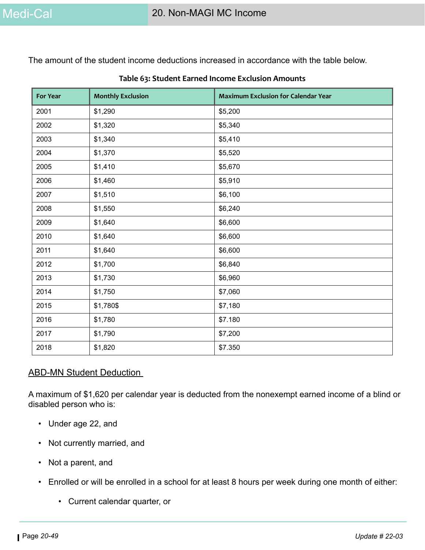The amount of the student income deductions increased in accordance with the table below.

| <b>For Year</b> | <b>Monthly Exclusion</b> | <b>Maximum Exclusion for Calendar Year</b> |
|-----------------|--------------------------|--------------------------------------------|
| 2001            | \$1,290                  | \$5,200                                    |
| 2002            | \$1,320                  | \$5,340                                    |
| 2003            | \$1,340                  | \$5,410                                    |
| 2004            | \$1,370                  | \$5,520                                    |
| 2005            | \$1,410                  | \$5,670                                    |
| 2006            | \$1,460                  | \$5,910                                    |
| 2007            | \$1,510                  | \$6,100                                    |
| 2008            | \$1,550                  | \$6,240                                    |
| 2009            | \$1,640                  | \$6,600                                    |
| 2010            | \$1,640                  | \$6,600                                    |
| 2011            | \$1,640                  | \$6,600                                    |
| 2012            | \$1,700                  | \$6,840                                    |
| 2013            | \$1,730                  | \$6,960                                    |
| 2014            | \$1,750                  | \$7,060                                    |
| 2015            | \$1,780\$                | \$7,180                                    |
| 2016            | \$1,780                  | \$7.180                                    |
| 2017            | \$1,790                  | \$7,200                                    |
| 2018            | \$1,820                  | \$7.350                                    |

#### **Table 63: Student Earned Income Exclusion Amounts**

#### ABD-MN Student Deduction

A maximum of \$1,620 per calendar year is deducted from the nonexempt earned income of a blind or disabled person who is:

- Under age 22, and
- Not currently married, and
- Not a parent, and
- Enrolled or will be enrolled in a school for at least 8 hours per week during one month of either:
	- Current calendar quarter, or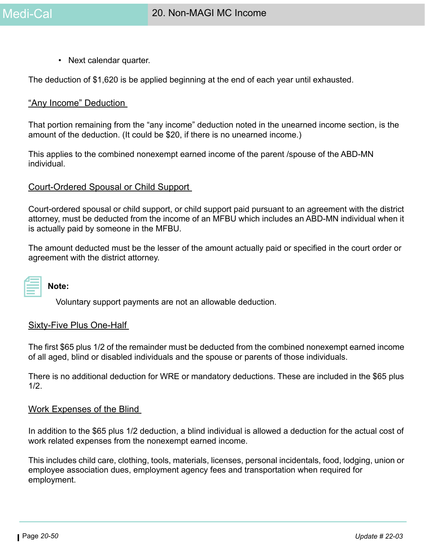• Next calendar quarter.

The deduction of \$1,620 is be applied beginning at the end of each year until exhausted.

#### "Any Income" Deduction

That portion remaining from the "any income" deduction noted in the unearned income section, is the amount of the deduction. (It could be \$20, if there is no unearned income.)

This applies to the combined nonexempt earned income of the parent /spouse of the ABD-MN individual.

#### Court-Ordered Spousal or Child Support

Court-ordered spousal or child support, or child support paid pursuant to an agreement with the district attorney, must be deducted from the income of an MFBU which includes an ABD-MN individual when it is actually paid by someone in the MFBU.

The amount deducted must be the lesser of the amount actually paid or specified in the court order or agreement with the district attorney.

| $\mathcal{L}(\mathcal{L})$ and $\mathcal{L}(\mathcal{L})$ and $\mathcal{L}(\mathcal{L})$ and $\mathcal{L}(\mathcal{L})$ and $\mathcal{L}(\mathcal{L})$ |  |
|--------------------------------------------------------------------------------------------------------------------------------------------------------|--|
|                                                                                                                                                        |  |
|                                                                                                                                                        |  |
|                                                                                                                                                        |  |
| ________                                                                                                                                               |  |
|                                                                                                                                                        |  |
|                                                                                                                                                        |  |

# **Note:**

Voluntary support payments are not an allowable deduction.

#### Sixty-Five Plus One-Half

The first \$65 plus 1/2 of the remainder must be deducted from the combined nonexempt earned income of all aged, blind or disabled individuals and the spouse or parents of those individuals.

There is no additional deduction for WRE or mandatory deductions. These are included in the \$65 plus 1/2.

#### Work Expenses of the Blind

In addition to the \$65 plus 1/2 deduction, a blind individual is allowed a deduction for the actual cost of work related expenses from the nonexempt earned income.

This includes child care, clothing, tools, materials, licenses, personal incidentals, food, lodging, union or employee association dues, employment agency fees and transportation when required for employment.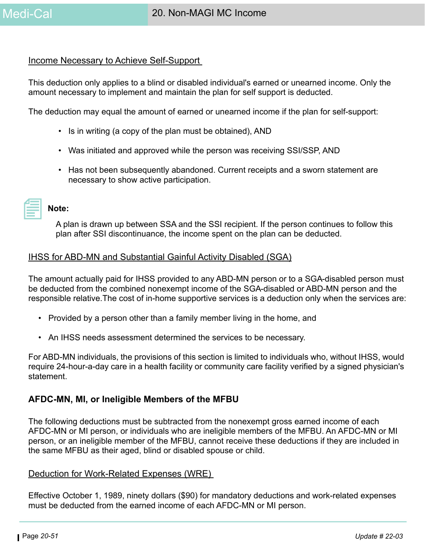#### Income Necessary to Achieve Self-Support

This deduction only applies to a blind or disabled individual's earned or unearned income. Only the amount necessary to implement and maintain the plan for self support is deducted.

The deduction may equal the amount of earned or unearned income if the plan for self-support:

- Is in writing (a copy of the plan must be obtained), AND
- Was initiated and approved while the person was receiving SSI/SSP, AND
- Has not been subsequently abandoned. Current receipts and a sworn statement are necessary to show active participation.

|--|

A plan is drawn up between SSA and the SSI recipient. If the person continues to follow this plan after SSI discontinuance, the income spent on the plan can be deducted.

#### IHSS for ABD-MN and Substantial Gainful Activity Disabled (SGA)

The amount actually paid for IHSS provided to any ABD-MN person or to a SGA-disabled person must be deducted from the combined nonexempt income of the SGA-disabled or ABD-MN person and the responsible relative.The cost of in-home supportive services is a deduction only when the services are:

- Provided by a person other than a family member living in the home, and
- An IHSS needs assessment determined the services to be necessary.

For ABD-MN individuals, the provisions of this section is limited to individuals who, without IHSS, would require 24-hour-a-day care in a health facility or community care facility verified by a signed physician's statement.

#### **AFDC-MN, MI, or Ineligible Members of the MFBU**

The following deductions must be subtracted from the nonexempt gross earned income of each AFDC-MN or MI person, or individuals who are ineligible members of the MFBU. An AFDC-MN or MI person, or an ineligible member of the MFBU, cannot receive these deductions if they are included in the same MFBU as their aged, blind or disabled spouse or child.

#### Deduction for Work-Related Expenses (WRE)

Effective October 1, 1989, ninety dollars (\$90) for mandatory deductions and work-related expenses must be deducted from the earned income of each AFDC-MN or MI person.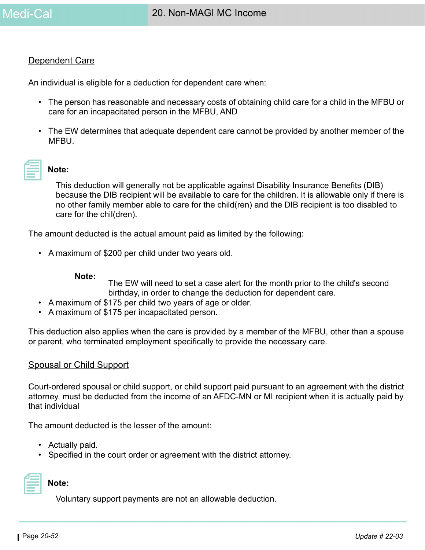#### Dependent Care

An individual is eligible for a deduction for dependent care when:

- The person has reasonable and necessary costs of obtaining child care for a child in the MFBU or care for an incapacitated person in the MFBU, AND
- The EW determines that adequate dependent care cannot be provided by another member of the MFBU.



#### **Note:**

This deduction will generally not be applicable against Disability Insurance Benefits (DIB) because the DIB recipient will be available to care for the children. It is allowable only if there is no other family member able to care for the child(ren) and the DIB recipient is too disabled to care for the chil(dren).

The amount deducted is the actual amount paid as limited by the following:

• A maximum of \$200 per child under two years old.

#### **Note:**

The EW will need to set a case alert for the month prior to the child's second birthday, in order to change the deduction for dependent care.

- A maximum of \$175 per child two years of age or older.
- A maximum of \$175 per incapacitated person.

This deduction also applies when the care is provided by a member of the MFBU, other than a spouse or parent, who terminated employment specifically to provide the necessary care.

#### Spousal or Child Support

Court-ordered spousal or child support, or child support paid pursuant to an agreement with the district attorney, must be deducted from the income of an AFDC-MN or MI recipient when it is actually paid by that individual

The amount deducted is the lesser of the amount:

- Actually paid.
- Specified in the court order or agreement with the district attorney.



**Note:** 

Voluntary support payments are not an allowable deduction.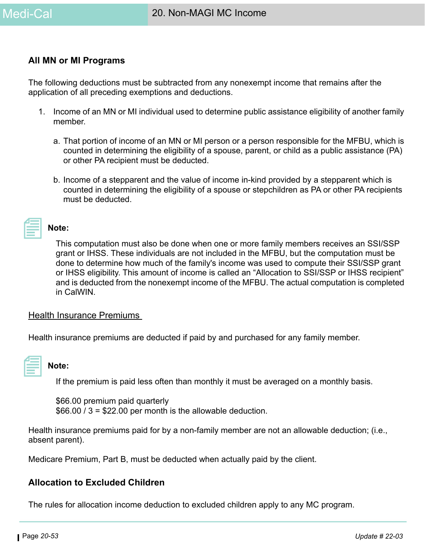#### **All MN or MI Programs**

The following deductions must be subtracted from any nonexempt income that remains after the application of all preceding exemptions and deductions.

- 1. Income of an MN or MI individual used to determine public assistance eligibility of another family member.
	- a. That portion of income of an MN or MI person or a person responsible for the MFBU, which is counted in determining the eligibility of a spouse, parent, or child as a public assistance (PA) or other PA recipient must be deducted.
	- b. Income of a stepparent and the value of income in-kind provided by a stepparent which is counted in determining the eligibility of a spouse or stepchildren as PA or other PA recipients must be deducted.

**Note:** 

This computation must also be done when one or more family members receives an SSI/SSP grant or IHSS. These individuals are not included in the MFBU, but the computation must be done to determine how much of the family's income was used to compute their SSI/SSP grant or IHSS eligibility. This amount of income is called an "Allocation to SSI/SSP or IHSS recipient" and is deducted from the nonexempt income of the MFBU. The actual computation is completed in CalWIN.

#### Health Insurance Premiums

Health insurance premiums are deducted if paid by and purchased for any family member.

| and the state of the state of the state of the state of the state of the state of the state of the state of th |  |
|----------------------------------------------------------------------------------------------------------------|--|
| ________                                                                                                       |  |
|                                                                                                                |  |

#### **Note:**

If the premium is paid less often than monthly it must be averaged on a monthly basis.

\$66.00 premium paid quarterly  $$66.00 / 3 = $22.00$  per month is the allowable deduction.

Health insurance premiums paid for by a non-family member are not an allowable deduction; (i.e., absent parent).

Medicare Premium, Part B, must be deducted when actually paid by the client.

#### **Allocation to Excluded Children**

The rules for allocation income deduction to excluded children apply to any MC program.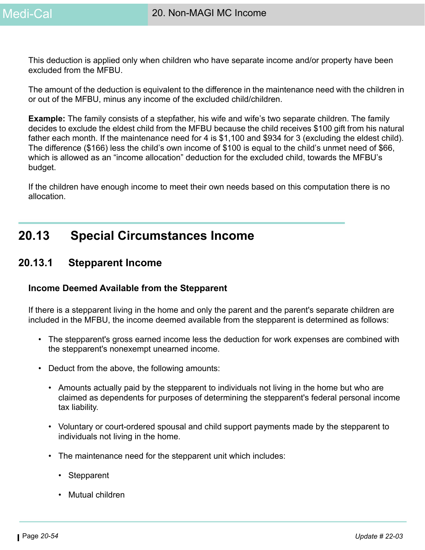This deduction is applied only when children who have separate income and/or property have been excluded from the MFBU.

The amount of the deduction is equivalent to the difference in the maintenance need with the children in or out of the MFBU, minus any income of the excluded child/children.

**Example:** The family consists of a stepfather, his wife and wife's two separate children. The family decides to exclude the eldest child from the MFBU because the child receives \$100 gift from his natural father each month. If the maintenance need for 4 is \$1,100 and \$934 for 3 (excluding the eldest child). The difference (\$166) less the child's own income of \$100 is equal to the child's unmet need of \$66, which is allowed as an "income allocation" deduction for the excluded child, towards the MFBU's budget.

If the children have enough income to meet their own needs based on this computation there is no allocation.

# **20.13 Special Circumstances Income**

# **20.13.1 Stepparent Income**

#### **Income Deemed Available from the Stepparent**

If there is a stepparent living in the home and only the parent and the parent's separate children are included in the MFBU, the income deemed available from the stepparent is determined as follows:

- The stepparent's gross earned income less the deduction for work expenses are combined with the stepparent's nonexempt unearned income.
- Deduct from the above, the following amounts:
	- Amounts actually paid by the stepparent to individuals not living in the home but who are claimed as dependents for purposes of determining the stepparent's federal personal income tax liability.
	- Voluntary or court-ordered spousal and child support payments made by the stepparent to individuals not living in the home.
	- The maintenance need for the stepparent unit which includes:
		- Stepparent
		- Mutual children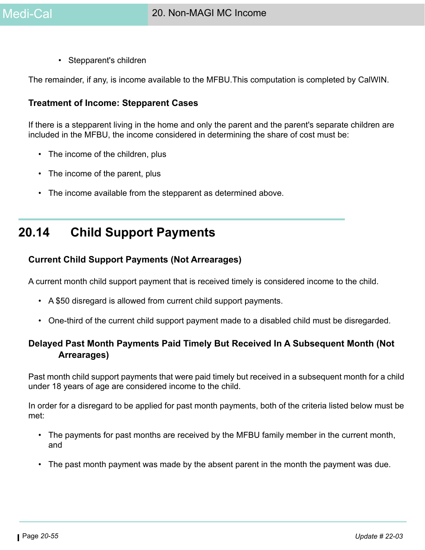• Stepparent's children

The remainder, if any, is income available to the MFBU.This computation is completed by CalWIN.

#### **Treatment of Income: Stepparent Cases**

If there is a stepparent living in the home and only the parent and the parent's separate children are included in the MFBU, the income considered in determining the share of cost must be:

- The income of the children, plus
- The income of the parent, plus
- The income available from the stepparent as determined above.

# **20.14 Child Support Payments**

### **Current Child Support Payments (Not Arrearages)**

A current month child support payment that is received timely is considered income to the child.

- A \$50 disregard is allowed from current child support payments.
- One-third of the current child support payment made to a disabled child must be disregarded.

# **Delayed Past Month Payments Paid Timely But Received In A Subsequent Month (Not Arrearages)**

Past month child support payments that were paid timely but received in a subsequent month for a child under 18 years of age are considered income to the child.

In order for a disregard to be applied for past month payments, both of the criteria listed below must be met:

- The payments for past months are received by the MFBU family member in the current month, and
- The past month payment was made by the absent parent in the month the payment was due.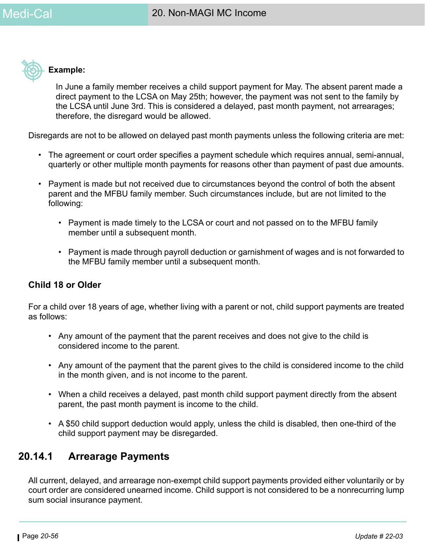

### **Example:**

In June a family member receives a child support payment for May. The absent parent made a direct payment to the LCSA on May 25th; however, the payment was not sent to the family by the LCSA until June 3rd. This is considered a delayed, past month payment, not arrearages; therefore, the disregard would be allowed.

Disregards are not to be allowed on delayed past month payments unless the following criteria are met:

- The agreement or court order specifies a payment schedule which requires annual, semi-annual, quarterly or other multiple month payments for reasons other than payment of past due amounts.
- Payment is made but not received due to circumstances beyond the control of both the absent parent and the MFBU family member. Such circumstances include, but are not limited to the following:
	- Payment is made timely to the LCSA or court and not passed on to the MFBU family member until a subsequent month.
	- Payment is made through payroll deduction or garnishment of wages and is not forwarded to the MFBU family member until a subsequent month.

# **Child 18 or Older**

For a child over 18 years of age, whether living with a parent or not, child support payments are treated as follows:

- Any amount of the payment that the parent receives and does not give to the child is considered income to the parent.
- Any amount of the payment that the parent gives to the child is considered income to the child in the month given, and is not income to the parent.
- When a child receives a delayed, past month child support payment directly from the absent parent, the past month payment is income to the child.
- A \$50 child support deduction would apply, unless the child is disabled, then one-third of the child support payment may be disregarded.

# **20.14.1 Arrearage Payments**

All current, delayed, and arrearage non-exempt child support payments provided either voluntarily or by court order are considered unearned income. Child support is not considered to be a nonrecurring lump sum social insurance payment.